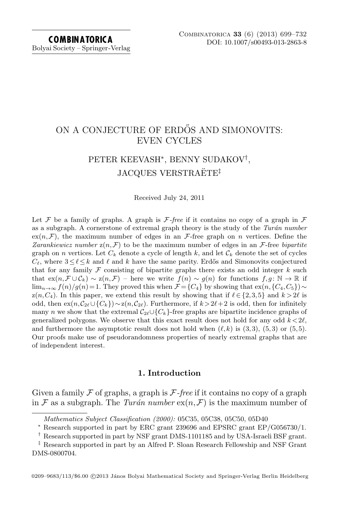# ON A CONJECTURE OF ERDŐS AND SIMONOVITS: EVEN CYCLES

# PETER KEEVASH<sup>∗</sup> , BENNY SUDAKOV† , JACQUES VERSTRAËTE<sup>‡</sup>

Received July 24, 2011

Let F be a family of graphs. A graph is F-free if it contains no copy of a graph in  $\mathcal F$ as a subgraph. A cornerstone of extremal graph theory is the study of the Turán number  $ex(n,\mathcal{F})$ , the maximum number of edges in an  $\mathcal{F}$ -free graph on n vertices. Define the Zarankiewicz number  $z(n,\mathcal{F})$  to be the maximum number of edges in an  $\mathcal{F}$ -free bipartite graph on n vertices. Let  $C_k$  denote a cycle of length k, and let  $C_k$  denote the set of cycles  $C_\ell$ , where  $3\leq \ell \leq k$  and  $\ell$  and k have the same parity. Erdős and Simonovits conjectured that for any family  $\mathcal F$  consisting of bipartite graphs there exists an odd integer k such that  $ex(n,\mathcal{F}\cup\mathcal{C}_k)\sim z(n,\mathcal{F})$  – here we write  $f(n)\sim g(n)$  for functions  $f,g:\mathbb{N}\to\mathbb{R}$  if  $\lim_{n\to\infty} f(n)/g(n)=1$ . They proved this when  $\mathcal{F} = \{C_4\}$  by showing that  $ex(n, \{C_4, C_5\}) \sim$  $z(n,C_4)$ . In this paper, we extend this result by showing that if  $\ell \in \{2,3,5\}$  and  $k > 2\ell$  is odd, then  $ex(n,\mathcal{C}_{2\ell}\cup\{C_k\})\sim z(n,\mathcal{C}_{2\ell})$ . Furthermore, if  $k > 2\ell+2$  is odd, then for infinitely many n we show that the extremal  $C_{2\ell} \cup \{C_k\}$ -free graphs are bipartite incidence graphs of generalized polygons. We observe that this exact result does not hold for any odd  $k < 2\ell$ , and furthermore the asymptotic result does not hold when  $(\ell, k)$  is  $(3,3)$ ,  $(5,3)$  or  $(5,5)$ . Our proofs make use of pseudorandomness properties of nearly extremal graphs that are of independent interest.

#### 1. Introduction

Given a family  $\mathcal F$  of graphs, a graph is  $\mathcal F$ -free if it contains no copy of a graph in F as a subgraph. The Turán number  $ex(n, \mathcal{F})$  is the maximum number of

Mathematics Subject Classification (2000): 05C35, 05C38, 05C50, 05D40

<sup>∗</sup> Research supported in part by ERC grant 239696 and EPSRC grant EP/G056730/1.

 $^\dagger$  Research supported in part by NSF grant DMS-1101185 and by USA-Israeli BSF grant.

<sup>‡</sup> Research supported in part by an Alfred P. Sloan Research Fellowship and NSF Grant DMS-0800704.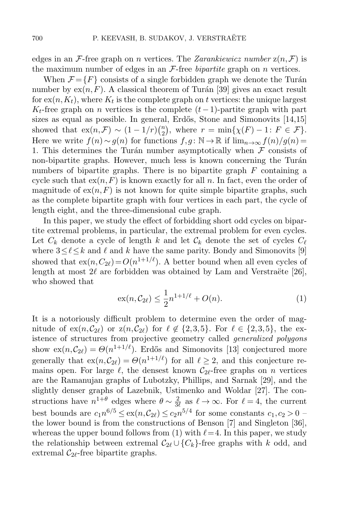edges in an F-free graph on *n* vertices. The *Zarankiewicz number*  $z(n, \mathcal{F})$  is the maximum number of edges in an  $\mathcal{F}\text{-free bipartite graph on }n$  vertices.

When  $\mathcal{F} = \{F\}$  consists of a single forbidden graph we denote the Turán number by  $ex(n, F)$ . A classical theorem of Turán [\[39\]](#page-33-0) gives an exact result for  $\mathrm{ex}(n,K_t)$ , where  $K_t$  is the complete graph on  $t$  vertices: the unique largest  $K_t$ -free graph on n vertices is the complete  $(t-1)$ -partite graph with part sizes as equal as possible. In general, Erdős, Stone and Simonovits [\[14,](#page-32-0)[15\]](#page-32-1) showed that  $ex(n,\mathcal{F}) \sim (1-1/r)\binom{n}{2}$  $n_2$ , where  $r = \min\{\chi(F) - 1: F \in \mathcal{F}\}.$ Here we write  $f(n) \sim g(n)$  for functions  $f,g : \mathbb{N} \to \mathbb{R}$  if  $\lim_{n \to \infty} f(n)/g(n) =$ 1. This determines the Turán number asymptotically when  $\mathcal F$  consists of non-bipartite graphs. However, much less is known concerning the Turán numbers of bipartite graphs. There is no bipartite graph  $F$  containing a cycle such that  $ex(n, F)$  is known exactly for all n. In fact, even the order of magnitude of  $ex(n, F)$  is not known for quite simple bipartite graphs, such as the complete bipartite graph with four vertices in each part, the cycle of length eight, and the three-dimensional cube graph.

In this paper, we study the effect of forbidding short odd cycles on bipartite extremal problems, in particular, the extremal problem for even cycles. Let  $C_k$  denote a cycle of length k and let  $C_k$  denote the set of cycles  $C_\ell$ where  $3 \leq \ell \leq k$  and  $\ell$  and k have the same parity. Bondy and Simonovits [\[9\]](#page-32-2) showed that  $ex(n, C_{2\ell}) = O(n^{1+1/\ell})$ . A better bound when all even cycles of length at most  $2\ell$  are forbidden was obtained by Lam and Verstraëte [\[26\]](#page-32-3), who showed that

<span id="page-1-0"></span>
$$
ex(n, C_{2\ell}) \le \frac{1}{2}n^{1+1/\ell} + O(n).
$$
 (1)

It is a notoriously difficult problem to determine even the order of magnitude of  $ex(n,\mathcal{C}_{2\ell})$  or  $z(n,\mathcal{C}_{2\ell})$  for  $\ell \notin \{2,3,5\}$ . For  $\ell \in \{2,3,5\}$ , the existence of structures from projective geometry called generalized polygons show  $ex(n,\mathcal{C}_{2\ell}) = \Theta(n^{1+1/\ell})$ . Erdős and Simonovits [\[13\]](#page-32-4) conjectured more generally that  $ex(n,\mathcal{C}_{2\ell}) = \Theta(n^{1+1/\ell})$  for all  $\ell \geq 2$ , and this conjecture remains open. For large  $\ell$ , the densest known  $C_{2\ell}$ -free graphs on n vertices are the Ramanujan graphs of Lubotzky, Phillips, and Sarnak [\[29\]](#page-33-1), and the slightly denser graphs of Lazebnik, Ustimenko and Woldar [\[27\]](#page-33-2). The constructions have  $n^{1+\theta}$  edges where  $\theta \sim \frac{2}{3}$  $\frac{2}{3\ell}$  as  $\ell \to \infty$ . For  $\ell = 4$ , the current best bounds are  $c_1 n^{6/5} \le \exp(n, C_{2\ell}) \le c_2 n^{5/4}$  for some constants  $c_1, c_2 > 0$ the lower bound is from the constructions of Benson [\[7\]](#page-32-5) and Singleton [\[36\]](#page-33-3), whereas the upper bound follows from [\(1\)](#page-1-0) with  $\ell = 4$ . In this paper, we study the relationship between extremal  $C_{2\ell} \cup \{C_k\}$ -free graphs with k odd, and extremal  $\mathcal{C}_{2\ell}$ -free bipartite graphs.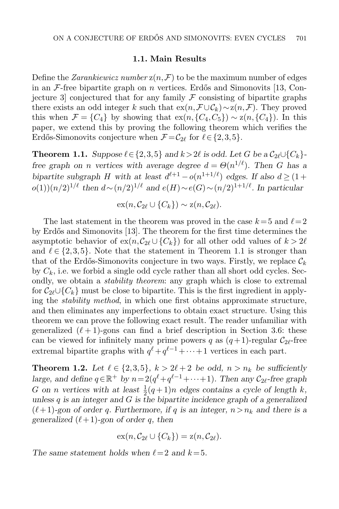#### 1.1. Main Results

Define the *Zarankiewicz number*  $z(n, \mathcal{F})$  to be the maximum number of edges in an  $\mathcal{F}\text{-free bipartite graph on }n$  vertices. Erdős and Simonovits [\[13,](#page-32-4) Conjecture 3 conjectured that for any family  $\mathcal F$  consisting of bipartite graphs there exists an odd integer k such that  $ex(n,\mathcal{F}\cup\mathcal{C}_k)\sim z(n,\mathcal{F})$ . They proved this when  $\mathcal{F} = \{C_4\}$  by showing that  $ex(n, \{C_4, C_5\}) \sim z(n, \{C_4\})$ . In this paper, we extend this by proving the following theorem which verifies the Erdős-Simonovits conjecture when  $\mathcal{F} = \mathcal{C}_{2\ell}$  for  $\ell \in \{2,3,5\}.$ 

<span id="page-2-0"></span>**Theorem 1.1.** Suppose  $\ell \in \{2,3,5\}$  and  $k > 2\ell$  is odd. Let G be a  $C_{2\ell} \cup \{C_k\}$ free graph on n vertices with average degree  $d = \Theta(n^{1/\ell})$ . Then G has a bipartite subgraph H with at least  $d^{\ell+1} - o(n^{1+1/\ell})$  edges. If also  $d \geq (1 +$  $o(1)(n/2)^{1/\ell}$  then  $d \sim (n/2)^{1/\ell}$  and  $e(H) \sim e(G) \sim (n/2)^{1+1/\ell}$ . In particular

$$
\mathrm{ex}(n,\mathcal{C}_{2\ell}\cup\{C_k\})\sim\mathrm{z}(n,\mathcal{C}_{2\ell}).
$$

The last statement in the theorem was proved in the case  $k = 5$  and  $\ell = 2$ by Erd˝os and Simonovits [\[13\]](#page-32-4). The theorem for the first time determines the asymptotic behavior of  $ex(n, \mathcal{C}_{2\ell} \cup {\mathcal{C}_k})$  for all other odd values of  $k > 2\ell$ and  $\ell \in \{2,3,5\}$ . Note that the statement in Theorem [1.1](#page-2-0) is stronger than that of the Erdős-Simonovits conjecture in two ways. Firstly, we replace  $\mathcal{C}_k$ by  $C_k$ , i.e. we forbid a single odd cycle rather than all short odd cycles. Secondly, we obtain a *stability theorem*: any graph which is close to extremal for  $C_{2\ell}\cup\{C_k\}$  must be close to bipartite. This is the first ingredient in applying the stability method, in which one first obtains approximate structure, and then eliminates any imperfections to obtain exact structure. Using this theorem we can prove the following exact result. The reader unfamiliar with generalized  $(\ell + 1)$ -gons can find a brief description in Section [3.6:](#page-11-0) these can be viewed for infinitely many prime powers q as  $(q+1)$ -regular  $C_{2\ell}$ -free extremal bipartite graphs with  $q^{\ell} + q^{\ell-1} + \cdots + 1$  vertices in each part.

<span id="page-2-1"></span>**Theorem 1.2.** Let  $\ell \in \{2,3,5\}$ ,  $k > 2\ell + 2$  be odd,  $n > n_k$  be sufficiently large, and define  $q \in \mathbb{R}^+$  by  $n = 2(q^{\ell} + q^{\ell-1} + \cdots + 1)$ . Then any  $C_{2\ell}$ -free graph G on n vertices with at least  $\frac{1}{2}(q+1)n$  edges contains a cycle of length k, unless q is an integer and  $G$  is the bipartite incidence graph of a generalized  $(\ell + 1)$ -gon of order q. Furthermore, if q is an integer,  $n > n_k$  and there is a generalized  $(\ell + 1)$ -gon of order q, then

$$
\mathrm{ex}(n,\mathcal{C}_{2\ell}\cup\{C_k\})=\mathrm{z}(n,\mathcal{C}_{2\ell}).
$$

The same statement holds when  $\ell = 2$  and  $k = 5$ .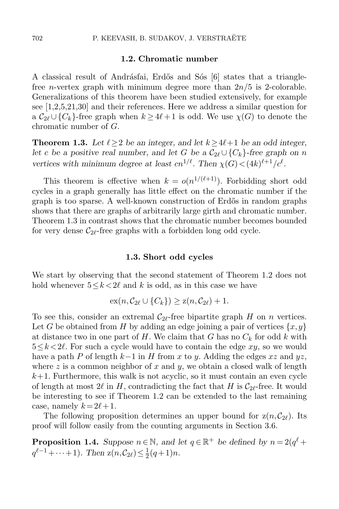#### 1.2. Chromatic number

A classical result of Andrásfai, Erdős and Sós [\[6\]](#page-32-6) states that a trianglefree *n*-vertex graph with minimum degree more than  $2n/5$  is 2-colorable. Generalizations of this theorem have been studied extensively, for example see [\[1,](#page-31-0)[2](#page-31-1)[,5,](#page-32-7)[21,](#page-32-8)[30\]](#page-33-4) and their references. Here we address a similar question for a  $C_{2\ell} \cup \{C_k\}$ -free graph when  $k \ge 4\ell + 1$  is odd. We use  $\chi(G)$  to denote the chromatic number of G.

<span id="page-3-0"></span>**Theorem 1.3.** Let  $\ell \geq 2$  be an integer, and let  $k \geq 4\ell+1$  be an odd integer, let c be a positive real number, and let G be a  $C_{2\ell} \cup \{C_k\}$ -free graph on n vertices with minimum degree at least  $cn^{1/\ell}$ . Then  $\chi(G) < (4k)^{\ell+1}/c^{\ell}$ .

This theorem is effective when  $k = o(n^{1/(\ell+1)})$ . Forbidding short odd cycles in a graph generally has little effect on the chromatic number if the graph is too sparse. A well-known construction of Erdős in random graphs shows that there are graphs of arbitrarily large girth and chromatic number. Theorem [1.3](#page-3-0) in contrast shows that the chromatic number becomes bounded for very dense  $\mathcal{C}_{2\ell}$ -free graphs with a forbidden long odd cycle.

#### 1.3. Short odd cycles

We start by observing that the second statement of Theorem [1.2](#page-2-1) does not hold whenever  $5 \leq k \leq 2\ell$  and k is odd, as in this case we have

$$
\mathrm{ex}(n,\mathcal{C}_{2\ell}\cup\{C_k\})\geq \mathrm{z}(n,\mathcal{C}_{2\ell})+1.
$$

To see this, consider an extremal  $C_{2\ell}$ -free bipartite graph H on n vertices. Let G be obtained from H by adding an edge joining a pair of vertices  $\{x, y\}$ at distance two in one part of  $H$ . We claim that G has no  $C_k$  for odd k with  $5 \leq k \leq 2\ell$ . For such a cycle would have to contain the edge  $xy$ , so we would have a path P of length  $k-1$  in H from x to y. Adding the edges  $xz$  and  $yz$ , where z is a common neighbor of x and y, we obtain a closed walk of length  $k+1$ . Furthermore, this walk is not acyclic, so it must contain an even cycle of length at most  $2\ell$  in H, contradicting the fact that H is  $C_{2\ell}$ -free. It would be interesting to see if Theorem [1.2](#page-2-1) can be extended to the last remaining case, namely  $k = 2\ell + 1$ .

The following proposition determines an upper bound for  $z(n,\mathcal{C}_{2\ell})$ . Its proof will follow easily from the counting arguments in Section [3.6.](#page-11-0)

<span id="page-3-1"></span>**Proposition 1.4.** Suppose  $n \in \mathbb{N}$ , and let  $q \in \mathbb{R}^+$  be defined by  $n = 2(q^{\ell} +$  $q^{\ell-1} + \cdots + 1$ ). Then  $z(n, C_{2\ell}) \leq \frac{1}{2}$  $rac{1}{2}(q+1)n$ .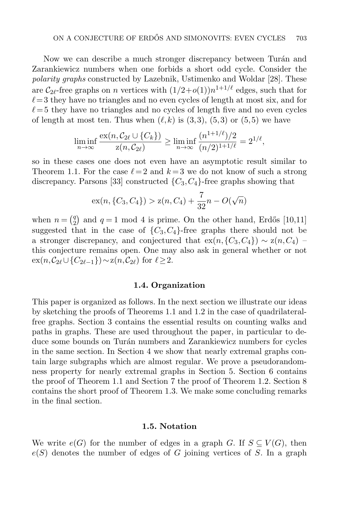Now we can describe a much stronger discrepancy between Turán and Zarankiewicz numbers when one forbids a short odd cycle. Consider the polarity graphs constructed by Lazebnik, Ustimenko and Woldar [\[28\]](#page-33-5). These are  $\mathcal{C}_{2\ell}$ -free graphs on *n* vertices with  $(1/2+o(1))n^{1+1/\ell}$  edges, such that for  $\ell = 3$  they have no triangles and no even cycles of length at most six, and for  $\ell = 5$  they have no triangles and no cycles of length five and no even cycles of length at most ten. Thus when  $(\ell, k)$  is  $(3,3)$ ,  $(5,3)$  or  $(5,5)$  we have

$$
\liminf_{n \to \infty} \frac{\operatorname{ex}(n, C_{2\ell} \cup \{C_k\})}{\operatorname{z}(n, C_{2\ell})} \ge \liminf_{n \to \infty} \frac{(n^{1+1/\ell})/2}{(n/2)^{1+1/\ell}} = 2^{1/\ell},
$$

so in these cases one does not even have an asymptotic result similar to Theorem [1.1.](#page-2-0) For the case  $\ell = 2$  and  $k = 3$  we do not know of such a strong discrepancy. Parsons [\[33\]](#page-33-6) constructed  $\{C_3, C_4\}$ -free graphs showing that

$$
ex(n, \{C_3, C_4\}) > z(n, C_4) + \frac{7}{32}n - O(\sqrt{n})
$$

when  $n = \binom{q}{2}$  $q_2$ ) and  $q=1$  mod 4 is prime. On the other hand, Erdős [\[10](#page-32-9)[,11\]](#page-32-10) suggested that in the case of  $\{C_3, C_4\}$ -free graphs there should not be a stronger discrepancy, and conjectured that  $ex(n, {C_3, C_4}) \sim z(n, C_4)$ this conjecture remains open. One may also ask in general whether or not  $ex(n,\mathcal{C}_{2\ell}\cup\{C_{2\ell-1}\})\sim z(n,\mathcal{C}_{2\ell})$  for  $\ell\geq 2$ .

#### 1.4. Organization

This paper is organized as follows. In the next section we illustrate our ideas by sketching the proofs of Theorems [1.1](#page-2-0) and [1.2](#page-2-1) in the case of quadrilateralfree graphs. Section 3 contains the essential results on counting walks and paths in graphs. These are used throughout the paper, in particular to deduce some bounds on Turán numbers and Zarankiewicz numbers for cycles in the same section. In Section 4 we show that nearly extremal graphs contain large subgraphs which are almost regular. We prove a pseudorandomness property for nearly extremal graphs in Section 5. Section 6 contains the proof of Theorem [1.1](#page-2-0) and Section 7 the proof of Theorem [1.2.](#page-2-1) Section 8 contains the short proof of Theorem [1.3.](#page-3-0) We make some concluding remarks in the final section.

### 1.5. Notation

We write  $e(G)$  for the number of edges in a graph G. If  $S \subseteq V(G)$ , then  $e(S)$  denotes the number of edges of G joining vertices of S. In a graph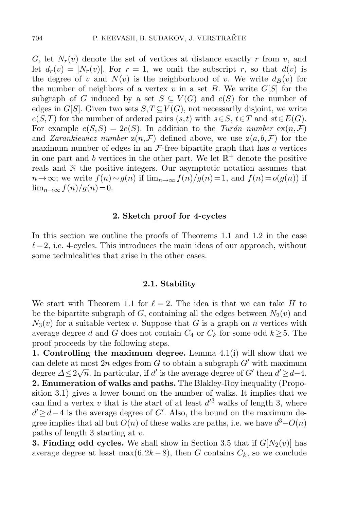G, let  $N_r(v)$  denote the set of vertices at distance exactly r from v, and let  $d_r(v) = |N_r(v)|$ . For  $r = 1$ , we omit the subscript r, so that  $d(v)$  is the degree of v and  $N(v)$  is the neighborhood of v. We write  $d_B(v)$  for the number of neighbors of a vertex v in a set B. We write  $G[S]$  for the subgraph of G induced by a set  $S \subseteq V(G)$  and  $e(S)$  for the number of edges in G[S]. Given two sets  $S, T \subseteq V(G)$ , not necessarily disjoint, we write  $e(S,T)$  for the number of ordered pairs  $(s,t)$  with  $s\in S, t\in T$  and  $st\in E(G)$ . For example  $e(S, S) = 2e(S)$ . In addition to the Turán number  $ex(n, \mathcal{F})$ and *Zarankiewicz number*  $z(n, \mathcal{F})$  defined above, we use  $z(a, b, \mathcal{F})$  for the maximum number of edges in an  $\mathcal{F}\text{-free}$  bipartite graph that has a vertices in one part and b vertices in the other part. We let  $\mathbb{R}^+$  denote the positive reals and N the positive integers. Our asymptotic notation assumes that  $n\to\infty$ ; we write  $f(n) \sim g(n)$  if  $\lim_{n\to\infty} f(n)/g(n) = 1$ , and  $f(n) = o(g(n))$  if  $\lim_{n\to\infty} f(n)/g(n)=0.$ 

#### 2. Sketch proof for 4-cycles

<span id="page-5-0"></span>In this section we outline the proofs of Theorems [1.1](#page-2-0) and [1.2](#page-2-1) in the case  $\ell = 2$ , i.e. 4-cycles. This introduces the main ideas of our approach, without some technicalities that arise in the other cases.

#### 2.1. Stability

We start with Theorem [1.1](#page-2-0) for  $\ell = 2$ . The idea is that we can take H to be the bipartite subgraph of  $G$ , containing all the edges between  $N_2(v)$  and  $N_3(v)$  for a suitable vertex v. Suppose that G is a graph on n vertices with average degree d and G does not contain  $C_4$  or  $C_k$  for some odd  $k \geq 5$ . The proof proceeds by the following steps.

1. Controlling the maximum degree. Lemma [4.1\(](#page-14-0)i) will show that we can delete at most  $2n$  edges from G to obtain a subgraph  $G'$  with maximum degree  $\Delta \leq 2\sqrt{n}$ . In particular, if d' is the average degree of G' then  $d' \geq d-4$ . 2. Enumeration of walks and paths. The Blakley-Roy inequality (Proposition [3.1\)](#page-8-0) gives a lower bound on the number of walks. It implies that we can find a vertex v that is the start of at least  $d'^3$  walks of length 3, where  $d' \geq d-4$  is the average degree of G'. Also, the bound on the maximum degree implies that all but  $O(n)$  of these walks are paths, i.e. we have  $d^3-O(n)$ paths of length 3 starting at v.

**3. Finding odd cycles.** We shall show in Section [3.5](#page-11-1) that if  $G[N_2(v)]$  has average degree at least max $(6,2k-8)$ , then G contains  $C_k$ , so we conclude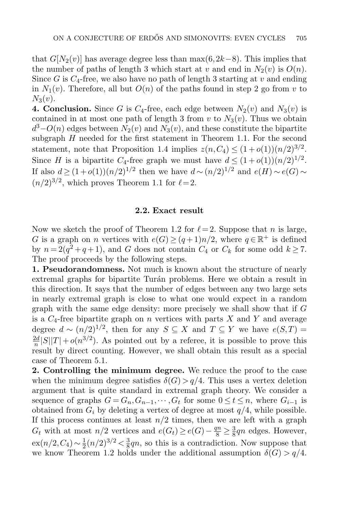that  $G[N_2(v)]$  has average degree less than max $(6,2k-8)$ . This implies that the number of paths of length 3 which start at v and end in  $N_2(v)$  is  $O(n)$ . Since G is  $C_4$ -free, we also have no path of length 3 starting at v and ending in  $N_1(v)$ . Therefore, all but  $O(n)$  of the paths found in step 2 go from v to  $N_3(v)$ .

**4. Conclusion.** Since G is  $C_4$ -free, each edge between  $N_2(v)$  and  $N_3(v)$  is contained in at most one path of length 3 from v to  $N_3(v)$ . Thus we obtain  $d^3 - O(n)$  edges between  $N_2(v)$  and  $N_3(v)$ , and these constitute the bipartite subgraph H needed for the first statement in Theorem [1.1.](#page-2-0) For the second statement, note that Proposition [1.4](#page-3-1) implies  $z(n, C_4) \leq (1+o(1))(n/2)^{3/2}$ . Since H is a bipartite C<sub>4</sub>-free graph we must have  $d \leq (1+o(1))(n/2)^{1/2}$ . If also  $d \ge (1+o(1))(n/2)^{1/2}$  then we have  $d \sim (n/2)^{1/2}$  and  $e(H) \sim e(G)$  $(n/2)^{3/2}$ , which proves Theorem [1.1](#page-2-0) for  $\ell = 2$ .

#### 2.2. Exact result

<span id="page-6-0"></span>Now we sketch the proof of Theorem [1.2](#page-2-1) for  $\ell = 2$ . Suppose that n is large, G is a graph on n vertices with  $e(G) \ge (q+1)n/2$ , where  $q \in \mathbb{R}^+$  is defined by  $n = 2(q^2 + q + 1)$ , and G does not contain  $C_4$  or  $C_k$  for some odd  $k \ge 7$ . The proof proceeds by the following steps.

1. Pseudorandomness. Not much is known about the structure of nearly extremal graphs for bipartite Turán problems. Here we obtain a result in this direction. It says that the number of edges between any two large sets in nearly extremal graph is close to what one would expect in a random graph with the same edge density: more precisely we shall show that if G is a  $C_4$ -free bipartite graph on n vertices with parts X and Y and average degree  $d \sim (n/2)^{1/2}$ , then for any  $S \subseteq X$  and  $T \subseteq Y$  we have  $e(S,T) =$  $\overline{2d}$  $\frac{2d}{n}|S||T|+o(n^{3/2})$ . As pointed out by a referee, it is possible to prove this result by direct counting. However, we shall obtain this result as a special case of Theorem [5.1.](#page-18-0)

2. Controlling the minimum degree. We reduce the proof to the case when the minimum degree satisfies  $\delta(G) > q/4$ . This uses a vertex deletion argument that is quite standard in extremal graph theory. We consider a sequence of graphs  $G = G_n, G_{n-1}, \cdots, G_t$  for some  $0 \le t \le n$ , where  $G_{i-1}$  is obtained from  $G_i$  by deleting a vertex of degree at most  $q/4$ , while possible. If this process continues at least  $n/2$  times, then we are left with a graph  $G_t$  with at most  $n/2$  vertices and  $e(G_t) \ge e(G) - \frac{qn}{8} \ge \frac{3}{8}$  $\frac{3}{8}$ qn edges. However,  $ex(n/2, C_4) \sim \frac{1}{2}$  $\frac{1}{2}(n/2)^{3/2} < \frac{3}{8}$  $\frac{3}{8}$ qn, so this is a contradiction. Now suppose that we know Theorem [1.2](#page-2-1) holds under the additional assumption  $\delta(G) > q/4$ .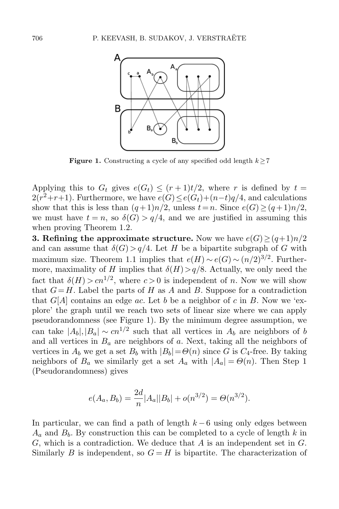

**Figure 1.** Constructing a cycle of any specified odd length  $k \geq 7$ 

Applying this to  $G_t$  gives  $e(G_t) \le (r+1)t/2$ , where r is defined by  $t =$  $2(r^2+r+1)$ . Furthermore, we have  $e(G) \leq e(G_t)+(n-t)q/4$ , and calculations show that this is less than  $(q+1)n/2$ , unless  $t=n$ . Since  $e(G) \geq (q+1)n/2$ , we must have  $t = n$ , so  $\delta(G) > q/4$ , and we are justified in assuming this when proving Theorem [1.2.](#page-2-1)

**3. Refining the approximate structure.** Now we have  $e(G) \geq (q+1)n/2$ and can assume that  $\delta(G) > q/4$ . Let H be a bipartite subgraph of G with maximum size. Theorem [1.1](#page-2-0) implies that  $e(H) \sim e(G) \sim (n/2)^{3/2}$ . Furthermore, maximality of H implies that  $\delta(H) > q/8$ . Actually, we only need the fact that  $\delta(H) > c n^{1/2}$ , where  $c > 0$  is independent of n. Now we will show that  $G=H$ . Label the parts of H as A and B. Suppose for a contradiction that  $G[A]$  contains an edge ac. Let b be a neighbor of c in B. Now we 'explore' the graph until we reach two sets of linear size where we can apply pseudorandomness (see Figure 1). By the minimum degree assumption, we can take  $|A_b|, |B_a| \sim cn^{1/2}$  such that all vertices in  $A_b$  are neighbors of b and all vertices in  $B_a$  are neighbors of a. Next, taking all the neighbors of vertices in  $A_b$  we get a set  $B_b$  with  $|B_b| = \Theta(n)$  since G is  $C_4$ -free. By taking neighbors of  $B_a$  we similarly get a set  $A_a$  with  $|A_a| = \Theta(n)$ . Then Step 1 (Pseudorandomness) gives

$$
e(A_a, B_b) = \frac{2d}{n} |A_a||B_b| + o(n^{3/2}) = \Theta(n^{3/2}).
$$

In particular, we can find a path of length  $k-6$  using only edges between  $A_a$  and  $B_b$ . By construction this can be completed to a cycle of length k in  $G$ , which is a contradiction. We deduce that  $A$  is an independent set in  $G$ . Similarly B is independent, so  $G = H$  is bipartite. The characterization of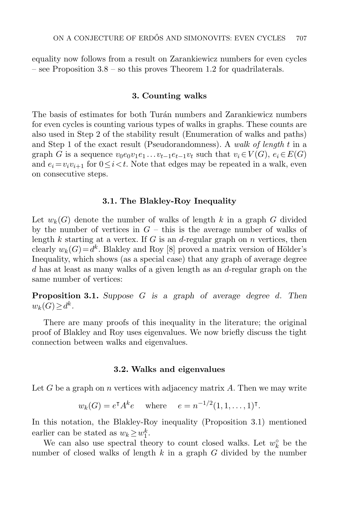equality now follows from a result on Zarankiewicz numbers for even cycles – see Proposition [3.8](#page-12-0) – so this proves Theorem [1.2](#page-2-1) for quadrilaterals.

#### 3. Counting walks

The basis of estimates for both Turán numbers and Zarankiewicz numbers for even cycles is counting various types of walks in graphs. These counts are also used in Step 2 of the stability result (Enumeration of walks and paths) and Step 1 of the exact result (Pseudorandomness). A walk of length  $t$  in a graph G is a sequence  $v_0e_0v_1e_1 \ldots v_{t-1}e_{t-1}v_t$  such that  $v_i \in V(G)$ ,  $e_i \in E(G)$ and  $e_i = v_i v_{i+1}$  for  $0 \leq i < t$ . Note that edges may be repeated in a walk, even on consecutive steps.

#### 3.1. The Blakley-Roy Inequality

Let  $w_k(G)$  denote the number of walks of length k in a graph G divided by the number of vertices in  $G$  – this is the average number of walks of length k starting at a vertex. If  $G$  is an d-regular graph on  $n$  vertices, then clearly  $w_k(G) = d^k$ . Blakley and Roy [\[8\]](#page-32-11) proved a matrix version of Hölder's Inequality, which shows (as a special case) that any graph of average degree d has at least as many walks of a given length as an d-regular graph on the same number of vertices:

<span id="page-8-0"></span>**Proposition 3.1.** Suppose  $G$  is a graph of average degree d. Then  $w_k(G) \geq d^k$ .

There are many proofs of this inequality in the literature; the original proof of Blakley and Roy uses eigenvalues. We now briefly discuss the tight connection between walks and eigenvalues.

#### 3.2. Walks and eigenvalues

Let G be a graph on n vertices with adjacency matrix  $A$ . Then we may write

$$
w_k(G) = e^{\dagger} A^k e
$$
 where  $e = n^{-1/2} (1, 1, ..., 1)^{\dagger}$ .

In this notation, the Blakley-Roy inequality (Proposition [3.1\)](#page-8-0) mentioned earlier can be stated as  $w_k \geq w_1^k$ .

We can also use spectral theory to count closed walks. Let  $w_k^{\circ}$  be the number of closed walks of length  $k$  in a graph  $G$  divided by the number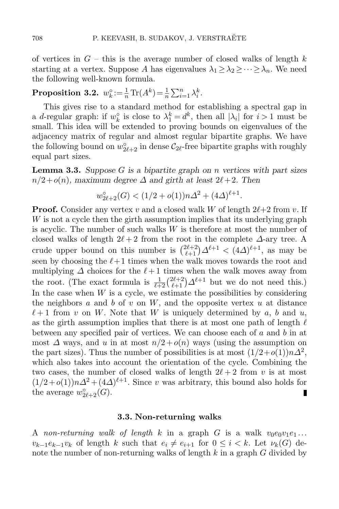of vertices in  $G$  – this is the average number of closed walks of length k starting at a vertex. Suppose A has eigenvalues  $\lambda_1 \geq \lambda_2 \geq \cdots \geq \lambda_n$ . We need the following well-known formula.

# <span id="page-9-1"></span>Proposition 3.2.  $w_k^\circ := \frac{1}{n} \text{Tr}(A^k) = \frac{1}{n} \sum_{i=1}^n \lambda_i^k$ .

This gives rise to a standard method for establishing a spectral gap in a d-regular graph: if  $w_k^{\circ}$  is close to  $\lambda_1^k = d^k$ , then all  $|\lambda_i|$  for  $i > 1$  must be small. This idea will be extended to proving bounds on eigenvalues of the adjacency matrix of regular and almost regular bipartite graphs. We have the following bound on  $w_{2\ell+2}^{\circ}$  in dense  $\mathcal{C}_{2\ell}$ -free bipartite graphs with roughly equal part sizes.

<span id="page-9-0"></span>**Lemma 3.3.** Suppose G is a bipartite graph on n vertices with part sizes  $n/2+o(n)$ , maximum degree  $\Delta$  and girth at least  $2\ell + 2$ . Then

$$
w_{2\ell+2}^{\circ}(G) < (1/2 + o(1))n\Delta^2 + (4\Delta)^{\ell+1}.
$$

**Proof.** Consider any vertex v and a closed walk W of length  $2\ell+2$  from v. If W is not a cycle then the girth assumption implies that its underlying graph is acyclic. The number of such walks W is therefore at most the number of closed walks of length  $2\ell + 2$  from the root in the complete  $\Delta$ -ary tree. A crude upper bound on this number is  $\binom{2\ell+2}{\ell+1}\Delta^{\ell+1} < (4\Delta)^{\ell+1}$ , as may be seen by choosing the  $\ell+1$  times when the walk moves towards the root and multiplying  $\Delta$  choices for the  $\ell+1$  times when the walk moves away from the root. (The exact formula is  $\frac{1}{\ell+2} \binom{2\ell+2}{\ell+1} \Delta^{\ell+1}$  but we do not need this.) In the case when  $W$  is a cycle, we estimate the possibilities by considering the neighbors  $a$  and  $b$  of  $v$  on  $W$ , and the opposite vertex  $u$  at distance  $\ell + 1$  from v on W. Note that W is uniquely determined by a, b and u, as the girth assumption implies that there is at most one path of length  $\ell$ between any specified pair of vertices. We can choose each of a and b in at most  $\Delta$  ways, and u in at most  $n/2 + o(n)$  ways (using the assumption on the part sizes). Thus the number of possibilities is at most  $(1/2+o(1))n\Delta^2$ , which also takes into account the orientation of the cycle. Combining the two cases, the number of closed walks of length  $2\ell + 2$  from v is at most  $(1/2+o(1))n\Delta^2+(4\Delta)^{\ell+1}$ . Since v was arbitrary, this bound also holds for the average  $w_{2\ell+2}^{\circ}(G)$ . П

### 3.3. Non-returning walks

A non-returning walk of length k in a graph G is a walk  $v_0e_0v_1e_1...$  $v_{k-1}e_{k-1}v_k$  of length k such that  $e_i \neq e_{i+1}$  for  $0 \leq i \leq k$ . Let  $\nu_k(G)$  denote the number of non-returning walks of length  $k$  in a graph  $G$  divided by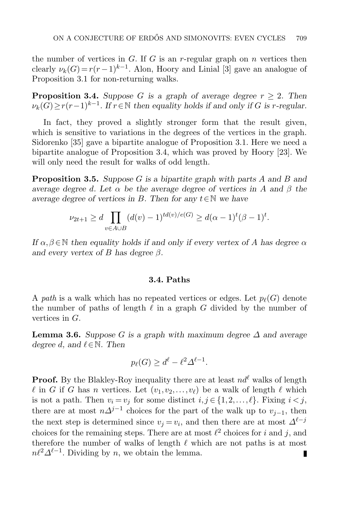the number of vertices in  $G$ . If  $G$  is an r-regular graph on  $n$  vertices then clearly  $\nu_k(G) = r(r-1)^{k-1}$ . Alon, Hoory and Linial [\[3\]](#page-31-2) gave an analogue of Proposition [3.1](#page-8-0) for non-returning walks.

<span id="page-10-0"></span>**Proposition 3.4.** Suppose G is a graph of average degree  $r > 2$ . Then  $\nu_k(G) \ge r(r-1)^{k-1}$ . If  $r \in \mathbb{N}$  then equality holds if and only if G is r-regular.

In fact, they proved a slightly stronger form that the result given, which is sensitive to variations in the degrees of the vertices in the graph. Sidorenko [\[35\]](#page-33-7) gave a bipartite analogue of Proposition [3.1.](#page-8-0) Here we need a bipartite analogue of Proposition [3.4,](#page-10-0) which was proved by Hoory [\[23\]](#page-32-12). We will only need the result for walks of odd length.

<span id="page-10-1"></span>**Proposition 3.5.** Suppose G is a bipartite graph with parts A and B and average degree d. Let  $\alpha$  be the average degree of vertices in A and  $\beta$  the average degree of vertices in B. Then for any  $t \in \mathbb{N}$  we have

$$
\nu_{2t+1} \ge d \prod_{v \in A \cup B} (d(v) - 1)^{td(v)/e(G)} \ge d(\alpha - 1)^t (\beta - 1)^t.
$$

If  $\alpha, \beta \in \mathbb{N}$  then equality holds if and only if every vertex of A has degree  $\alpha$ and every vertex of B has degree  $\beta$ .

# 3.4. Paths

A path is a walk which has no repeated vertices or edges. Let  $p_{\ell}(G)$  denote the number of paths of length  $\ell$  in a graph G divided by the number of vertices in G.

<span id="page-10-2"></span>**Lemma 3.6.** Suppose G is a graph with maximum degree  $\Delta$  and average degree d, and  $\ell \in \mathbb{N}$ . Then

$$
p_{\ell}(G) \ge d^{\ell} - \ell^2 \Delta^{\ell - 1}.
$$

**Proof.** By the Blakley-Roy inequality there are at least  $nd^{\ell}$  walks of length  $\ell$  in G if G has n vertices. Let  $(v_1,v_2,\ldots,v_\ell)$  be a walk of length  $\ell$  which is not a path. Then  $v_i = v_j$  for some distinct  $i, j \in \{1, 2, \ldots, \ell\}$ . Fixing  $i < j$ , there are at most  $n\Delta^{j-1}$  choices for the part of the walk up to  $v_{j-1}$ , then the next step is determined since  $v_j = v_i$ , and then there are at most  $\Delta^{\ell-j}$ choices for the remaining steps. There are at most  $\ell^2$  choices for i and j, and therefore the number of walks of length  $\ell$  which are not paths is at most  $n\ell^2\Delta^{\ell-1}$ . Dividing by n, we obtain the lemma. П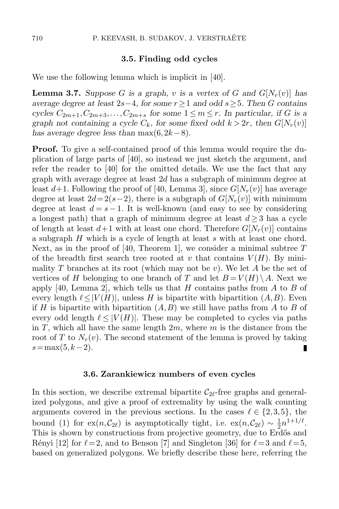#### 3.5. Finding odd cycles

<span id="page-11-1"></span>We use the following lemma which is implicit in [\[40\]](#page-33-8).

<span id="page-11-2"></span>**Lemma 3.7.** Suppose G is a graph, v is a vertex of G and  $G[N_r(v)]$  has average degree at least 2s−4, for some  $r \geq 1$  and odd s  $\geq 5$ . Then G contains cycles  $C_{2m+1}, C_{2m+3}, \ldots, C_{2m+s}$  for some  $1 \leq m \leq r$ . In particular, if G is a graph not containing a cycle  $C_k$ , for some fixed odd  $k > 2r$ , then  $G[N_r(v)]$ has average degree less than  $\max(6, 2k-8)$ .

**Proof.** To give a self-contained proof of this lemma would require the duplication of large parts of [\[40\]](#page-33-8), so instead we just sketch the argument, and refer the reader to [\[40\]](#page-33-8) for the omitted details. We use the fact that any graph with average degree at least 2d has a subgraph of minimum degree at least  $d+1$ . Following the proof of [\[40,](#page-33-8) Lemma 3], since  $G[N_r(v)]$  has average degree at least  $2d= 2(s-2)$ , there is a subgraph of  $G[N_r(v)]$  with minimum degree at least  $d = s - 1$ . It is well-known (and easy to see by considering a longest path) that a graph of minimum degree at least  $d \geq 3$  has a cycle of length at least  $d+1$  with at least one chord. Therefore  $G[N_r(v)]$  contains a subgraph H which is a cycle of length at least s with at least one chord. Next, as in the proof of [\[40,](#page-33-8) Theorem 1], we consider a minimal subtree  $T$ of the breadth first search tree rooted at v that contains  $V(H)$ . By minimality T branches at its root (which may not be v). We let A be the set of vertices of H belonging to one branch of T and let  $B = V(H) \setminus A$ . Next we apply [\[40,](#page-33-8) Lemma 2], which tells us that H contains paths from A to B of every length  $\ell \leq |V(H)|$ , unless H is bipartite with bipartition  $(A,B)$ . Even if H is bipartite with bipartition  $(A, B)$  we still have paths from A to B of every odd length  $\ell \leq |V(H)|$ . These may be completed to cycles via paths in T, which all have the same length  $2m$ , where m is the distance from the root of T to  $N_r(v)$ . The second statement of the lemma is proved by taking  $s=\max(5, k-2)$ . П

#### 3.6. Zarankiewicz numbers of even cycles

<span id="page-11-0"></span>In this section, we describe extremal bipartite  $C_{2\ell}$ -free graphs and generalized polygons, and give a proof of extremality by using the walk counting arguments covered in the previous sections. In the cases  $\ell \in \{2,3,5\}$ , the bound [\(1\)](#page-1-0) for ex $(n, C_{2\ell})$  is asymptotically tight, i.e. ex $(n, C_{2\ell}) \sim \frac{1}{2}$  $\frac{1}{2}n^{1+1/\ell}$ . This is shown by constructions from projective geometry, due to Erdős and Rényi [\[12\]](#page-32-13) for  $\ell = 2$ , and to Benson [\[7\]](#page-32-5) and Singleton [\[36\]](#page-33-3) for  $\ell = 3$  and  $\ell = 5$ , based on generalized polygons. We briefly describe these here, referring the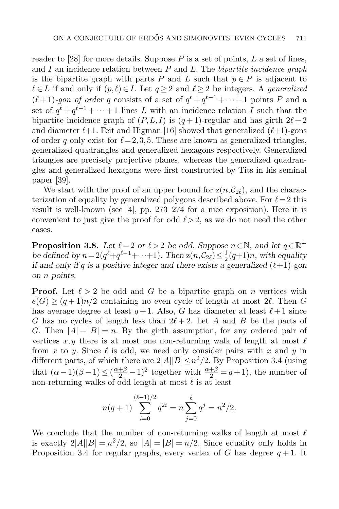reader to [\[28\]](#page-33-5) for more details. Suppose  $P$  is a set of points,  $L$  a set of lines, and I an incidence relation between  $P$  and  $L$ . The bipartite incidence graph is the bipartite graph with parts P and L such that  $p \in P$  is adjacent to  $\ell \in L$  if and only if  $(p, \ell) \in I$ . Let  $q \geq 2$  and  $\ell \geq 2$  be integers. A generalized  $(\ell+1)$ -gon of order q consists of a set of  $q^{\ell} + q^{\ell-1} + \cdots + 1$  points P and a set of  $q^{\ell} + q^{\ell-1} + \cdots + 1$  lines L with an incidence relation I such that the bipartite incidence graph of  $(P, L, I)$  is  $(q+1)$ -regular and has girth  $2\ell + 2$ and diameter  $\ell+1$ . Feit and Higman [\[16\]](#page-32-14) showed that generalized  $(\ell+1)$ -gons of order q only exist for  $\ell = 2,3,5$ . These are known as generalized triangles, generalized quadrangles and generalized hexagons respectively. Generalized triangles are precisely projective planes, whereas the generalized quadrangles and generalized hexagons were first constructed by Tits in his seminal paper [\[39\]](#page-33-0).

We start with the proof of an upper bound for  $z(n,\mathcal{C}_{2\ell})$ , and the characterization of equality by generalized polygons described above. For  $\ell = 2$  this result is well-known (see [\[4\]](#page-32-15), pp. 273–274 for a nice exposition). Here it is convenient to just give the proof for odd  $\ell > 2$ , as we do not need the other cases.

<span id="page-12-0"></span>**Proposition 3.8.** Let  $\ell = 2$  or  $\ell > 2$  be odd. Suppose  $n \in \mathbb{N}$ , and let  $q \in \mathbb{R}^+$ be defined by  $n = 2(q^{\ell}+q^{\ell-1}+\cdots+1)$ . Then  $z(n,\mathcal{C}_{2\ell}) \leq \frac{1}{2}$  $\frac{1}{2}(q+1)n$ , with equality if and only if q is a positive integer and there exists a generalized  $(\ell+1)$ -gon on n points.

**Proof.** Let  $\ell > 2$  be odd and G be a bipartite graph on n vertices with  $e(G) \ge (q+1)n/2$  containing no even cycle of length at most  $2\ell$ . Then G has average degree at least  $q + 1$ . Also, G has diameter at least  $\ell + 1$  since G has no cycles of length less than  $2\ell + 2$ . Let A and B be the parts of G. Then  $|A| + |B| = n$ . By the girth assumption, for any ordered pair of vertices x, y there is at most one non-returning walk of length at most  $\ell$ from x to y. Since  $\ell$  is odd, we need only consider pairs with x and y in different parts, of which there are  $2|A||B| \leq n^2/2$ . By Proposition [3.4](#page-10-0) (using that  $(\alpha - 1)(\beta - 1) \leq (\frac{\alpha + \beta}{2} - 1)^2$  together with  $\frac{\alpha + \beta}{2} = q + 1$ , the number of non-returning walks of odd length at most  $\ell$  is at least

$$
n(q+1)\sum_{i=0}^{(\ell-1)/2} q^{2i} = n\sum_{j=0}^{\ell} q^j = n^2/2.
$$

We conclude that the number of non-returning walks of length at most  $\ell$ is exactly  $2|A||B| = n^2/2$ , so  $|A| = |B| = n/2$ . Since equality only holds in Proposition [3.4](#page-10-0) for regular graphs, every vertex of G has degree  $q+1$ . It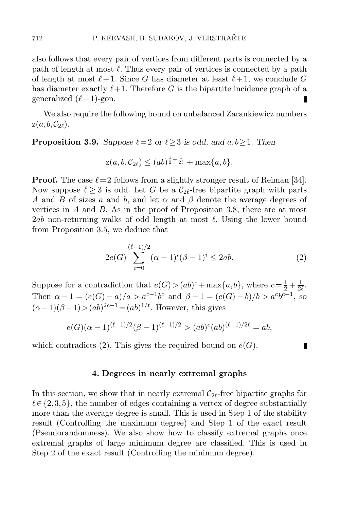also follows that every pair of vertices from different parts is connected by a path of length at most  $\ell$ . Thus every pair of vertices is connected by a path of length at most  $\ell + 1$ . Since G has diameter at least  $\ell + 1$ , we conclude G has diameter exactly  $\ell+1$ . Therefore G is the bipartite incidence graph of a generalized  $(\ell + 1)$ -gon. п

We also require the following bound on unbalanced Zarankiewicz numbers  $z(a, b, C_{2\ell}).$ 

<span id="page-13-1"></span>**Proposition 3.9.** Suppose  $\ell = 2$  or  $\ell \geq 3$  is odd, and  $a, b \geq 1$ . Then

$$
z(a, b, C_{2\ell}) \leq (ab)^{\frac{1}{2} + \frac{1}{2\ell}} + \max\{a, b\}.
$$

**Proof.** The case  $\ell = 2$  follows from a slightly stronger result of Reiman [\[34\]](#page-33-9). Now suppose  $\ell > 3$  is odd. Let G be a  $\mathcal{C}_{2\ell}$ -free bipartite graph with parts A and B of sizes a and b, and let  $\alpha$  and  $\beta$  denote the average degrees of vertices in  $A$  and  $B$ . As in the proof of Proposition [3.8,](#page-12-0) there are at most 2ab non-returning walks of odd length at most  $\ell$ . Using the lower bound from Proposition [3.5,](#page-10-1) we deduce that

<span id="page-13-0"></span>
$$
2e(G)\sum_{i=0}^{(\ell-1)/2}(\alpha-1)^i(\beta-1)^i\leq 2ab.\tag{2}
$$

П

Suppose for a contradiction that  $e(G) > (ab)^c + \max\{a, b\}$ , where  $c = \frac{1}{2} + \frac{1}{2}$  $\frac{1}{2\ell}$ . Then  $\alpha - 1 = (e(G) - a)/a > a^{c-1}b^c$  and  $\beta - 1 = (e(G) - b)/b > a^c b^{c-1}$ , so  $(\alpha - 1)(\beta - 1) > (ab)^{2c-1} = (ab)^{1/\ell}$ . However, this gives

$$
e(G)(\alpha - 1)^{(\ell - 1)/2}(\beta - 1)^{(\ell - 1)/2} > (ab)^{c}(ab)^{(\ell - 1)/2\ell} = ab,
$$

which contradicts [\(2\)](#page-13-0). This gives the required bound on  $e(G)$ .

#### 4. Degrees in nearly extremal graphs

In this section, we show that in nearly extremal  $C_{2\ell}$ -free bipartite graphs for  $\ell \in \{2,3,5\}$ , the number of edges containing a vertex of degree substantially more than the average degree is small. This is used in Step 1 of the stability result (Controlling the maximum degree) and Step 1 of the exact result (Pseudorandomness). We also show how to classify extremal graphs once extremal graphs of large minimum degree are classified. This is used in Step 2 of the exact result (Controlling the minimum degree).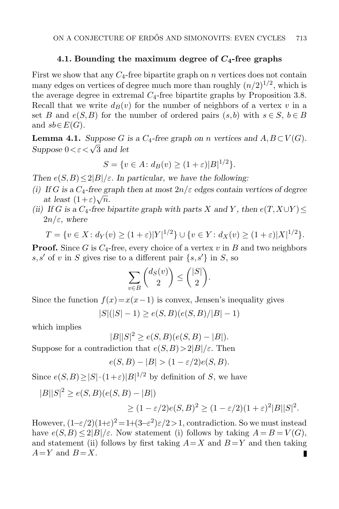### 4.1. Bounding the maximum degree of  $C_4$ -free graphs

First we show that any  $C_4$ -free bipartite graph on n vertices does not contain many edges on vertices of degree much more than roughly  $(n/2)^{1/2}$ , which is the average degree in extremal  $C_4$ -free bipartite graphs by Proposition [3.8.](#page-12-0) Recall that we write  $d_B(v)$  for the number of neighbors of a vertex v in a set B and  $e(S, B)$  for the number of ordered pairs  $(s, b)$  with  $s \in S$ ,  $b \in B$ and  $sb \in E(G)$ .

<span id="page-14-0"></span>**Lemma 4.1.** Suppose G is a  $C_4$ -free graph on n vertices and  $A, B \subset V(G)$ . Suppose  $0 < \varepsilon < \sqrt{3}$  and let

$$
S = \{ v \in A : d_B(v) \ge (1 + \varepsilon)|B|^{1/2} \}.
$$

Then  $e(S, B) \leq 2|B|/\varepsilon$ . In particular, we have the following:

- (i) If G is a  $C_4$ -free graph then at most  $2n/\varepsilon$  edges contain vertices of degree at least  $(1+\varepsilon)\sqrt{n}$ .
- (ii) If G is a  $C_4$ -free bipartite graph with parts X and Y, then  $e(T, X \cup Y)$  $2n/\varepsilon$ , where

$$
T = \{ v \in X : d_Y(v) \ge (1 + \varepsilon) |Y|^{1/2} \} \cup \{ v \in Y : d_X(v) \ge (1 + \varepsilon) |X|^{1/2} \}.
$$

**Proof.** Since G is  $C_4$ -free, every choice of a vertex v in B and two neighbors s,s' of v in S gives rise to a different pair  $\{s, s'\}$  in S, so

$$
\sum_{v \in B} \binom{d_S(v)}{2} \le \binom{|S|}{2}.
$$

Since the function  $f(x)=x(x-1)$  is convex, Jensen's inequality gives

$$
|S|(|S|-1) \ge e(S, B)(e(S, B)/|B|-1)
$$

which implies

$$
|B||S|^2 \ge e(S, B)(e(S, B) - |B|).
$$

Suppose for a contradiction that  $e(S, B) > 2|B|/\varepsilon$ . Then

$$
e(S, B) - |B| > (1 - \varepsilon/2)e(S, B).
$$

Since  $e(S, B) \ge |S| \cdot (1+\varepsilon)|B|^{1/2}$  by definition of S, we have

$$
|B||S|^2 \ge e(S, B)(e(S, B) - |B|)
$$
  
 
$$
\ge (1 - \varepsilon/2)e(S, B)^2 \ge (1 - \varepsilon/2)(1 + \varepsilon)^2|B||S|^2.
$$

However,  $(1-\varepsilon/2)(1+\varepsilon)^2 = 1+(3-\varepsilon^2)\varepsilon/2 > 1$ , contradiction. So we must instead have  $e(S, B) \leq 2|B|/\varepsilon$ . Now statement (i) follows by taking  $A = B = V(G)$ , and statement (ii) follows by first taking  $A=X$  and  $B=Y$  and then taking  $A=Y$  and  $B=X$ . П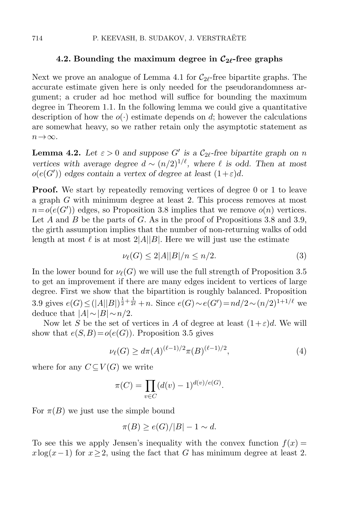#### 4.2. Bounding the maximum degree in  $\mathcal{C}_{2\ell}$ -free graphs

Next we prove an analogue of Lemma [4.1](#page-14-0) for  $C_{2\ell}$ -free bipartite graphs. The accurate estimate given here is only needed for the pseudorandomness argument; a cruder ad hoc method will suffice for bounding the maximum degree in Theorem [1.1.](#page-2-0) In the following lemma we could give a quantitative description of how the  $o(\cdot)$  estimate depends on d; however the calculations are somewhat heavy, so we rather retain only the asymptotic statement as  $n\rightarrow\infty$ .

<span id="page-15-2"></span>**Lemma 4.2.** Let  $\varepsilon > 0$  and suppose G' is a  $C_{2\ell}$ -free bipartite graph on n vertices with average degree  $d \sim (n/2)^{1/\ell}$ , where  $\ell$  is odd. Then at most  $o(e(G'))$  edges contain a vertex of degree at least  $(1+\varepsilon)d$ .

**Proof.** We start by repeatedly removing vertices of degree 0 or 1 to leave a graph G with minimum degree at least 2. This process removes at most  $n = o(e(G'))$  edges, so Proposition [3.8](#page-12-0) implies that we remove  $o(n)$  vertices. Let A and B be the parts of G. As in the proof of Propositions [3.8](#page-12-0) and [3.9,](#page-13-1) the girth assumption implies that the number of non-returning walks of odd length at most  $\ell$  is at most  $2|A||B|$ . Here we will just use the estimate

<span id="page-15-0"></span>
$$
\nu_{\ell}(G) \le 2|A||B|/n \le n/2. \tag{3}
$$

In the lower bound for  $\nu_{\ell}(G)$  we will use the full strength of Proposition [3.5](#page-10-1) to get an improvement if there are many edges incident to vertices of large degree. First we show that the bipartition is roughly balanced. Proposition [3.9](#page-13-1) gives  $e(G) \leq (|A||B|)^{\frac{1}{2} + \frac{1}{2\ell}} + n$ . Since  $e(G) \sim e(G') = nd/2 \sim (n/2)^{1+1/\ell}$  we deduce that  $|A| \sim |B| \sim n/2$ .

Now let S be the set of vertices in A of degree at least  $(1+\varepsilon)d$ . We will show that  $e(S, B) = o(e(G))$ . Proposition [3.5](#page-10-1) gives

<span id="page-15-1"></span>
$$
\nu_{\ell}(G) \ge d\pi(A)^{(\ell-1)/2}\pi(B)^{(\ell-1)/2},\tag{4}
$$

where for any  $C\subseteq V(G)$  we write

$$
\pi(C) = \prod_{v \in C} (d(v) - 1)^{d(v)/e(G)}.
$$

For  $\pi(B)$  we just use the simple bound

$$
\pi(B) \ge e(G)/|B| - 1 \sim d.
$$

To see this we apply Jensen's inequality with the convex function  $f(x) =$  $x\log(x-1)$  for  $x\geq 2$ , using the fact that G has minimum degree at least 2.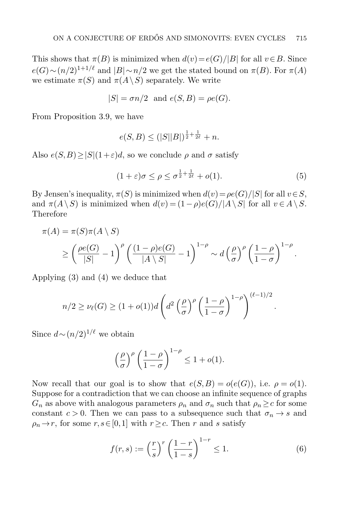This shows that  $\pi(B)$  is minimized when  $d(v)=e(G)/|B|$  for all  $v\in B$ . Since  $e(G) \sim (n/2)^{1+1/\ell}$  and  $|B| \sim n/2$  we get the stated bound on  $\pi(B)$ . For  $\pi(A)$ we estimate  $\pi(S)$  and  $\pi(A \setminus S)$  separately. We write

$$
|S| = \sigma n/2 \text{ and } e(S, B) = \rho e(G).
$$

From Proposition [3.9,](#page-13-1) we have

$$
e(S, B) \le (|S||B|)^{\frac{1}{2} + \frac{1}{2\ell}} + n.
$$

Also  $e(S, B) \geq |S|(1+\varepsilon)d$ , so we conclude  $\rho$  and  $\sigma$  satisfy

<span id="page-16-0"></span>
$$
(1+\varepsilon)\sigma \le \rho \le \sigma^{\frac{1}{2}+\frac{1}{2\ell}} + o(1). \tag{5}
$$

.

By Jensen's inequality,  $\pi(S)$  is minimized when  $d(v) = \rho e(G)/|S|$  for all  $v \in S$ , and  $\pi(A\setminus S)$  is minimized when  $d(v) = (1-\rho)e(G)/|A\setminus S|$  for all  $v \in A\setminus S$ . Therefore

$$
\pi(A) = \pi(S)\pi(A \setminus S)
$$
  
\n
$$
\geq \left(\frac{\rho e(G)}{|S|} - 1\right)^{\rho} \left(\frac{(1-\rho)e(G)}{|A \setminus S|} - 1\right)^{1-\rho} \sim d\left(\frac{\rho}{\sigma}\right)^{\rho} \left(\frac{1-\rho}{1-\sigma}\right)^{1-\rho}.
$$

Applying [\(3\)](#page-15-0) and [\(4\)](#page-15-1) we deduce that

$$
n/2 \ge \nu_{\ell}(G) \ge (1 + o(1))d\left(d^2\left(\frac{\rho}{\sigma}\right)^{\rho}\left(\frac{1-\rho}{1-\sigma}\right)^{1-\rho}\right)^{(\ell-1)/2}
$$

Since  $d \sim (n/2)^{1/\ell}$  we obtain

$$
\left(\frac{\rho}{\sigma}\right)^{\rho} \left(\frac{1-\rho}{1-\sigma}\right)^{1-\rho} \le 1 + o(1).
$$

Now recall that our goal is to show that  $e(S, B) = o(e(G))$ , i.e.  $\rho = o(1)$ . Suppose for a contradiction that we can choose an infinite sequence of graphs  $G_n$  as above with analogous parameters  $\rho_n$  and  $\sigma_n$  such that  $\rho_n \geq c$  for some constant  $c > 0$ . Then we can pass to a subsequence such that  $\sigma_n \to s$  and  $\rho_n \to r$ , for some  $r, s \in [0,1]$  with  $r \geq c$ . Then r and s satisfy

<span id="page-16-1"></span>
$$
f(r,s) := \left(\frac{r}{s}\right)^r \left(\frac{1-r}{1-s}\right)^{1-r} \le 1.
$$
 (6)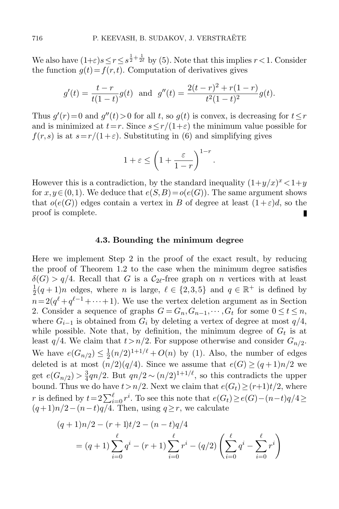We also have  $(1+\varepsilon)s\leq r\leq s^{\frac{1}{2}+\frac{1}{2\ell}}$  by [\(5\)](#page-16-0). Note that this implies  $r<1$ . Consider the function  $g(t) = f(r, t)$ . Computation of derivatives gives

$$
g'(t) = \frac{t-r}{t(1-t)}g(t)
$$
 and  $g''(t) = \frac{2(t-r)^2 + r(1-r)}{t^2(1-t)^2}g(t)$ .

Thus  $g'(r) = 0$  and  $g''(t) > 0$  for all t, so  $g(t)$  is convex, is decreasing for  $t \leq r$ and is minimized at  $t=r$ . Since  $s \leq r/(1+\varepsilon)$  the minimum value possible for  $f(r,s)$  is at  $s=r/(1+\varepsilon)$ . Substituting in [\(6\)](#page-16-1) and simplifying gives

$$
1 + \varepsilon \le \left(1 + \frac{\varepsilon}{1 - r}\right)^{1 - r}.
$$

However this is a contradiction, by the standard inequality  $(1+y/x)^x < 1+y$ for  $x,y\in(0,1)$ . We deduce that  $e(S, B)=o(e(G))$ . The same argument shows that  $o(e(G))$  edges contain a vertex in B of degree at least  $(1+\varepsilon)d$ , so the proof is complete. П

#### 4.3. Bounding the minimum degree

Here we implement Step 2 in the proof of the exact result, by reducing the proof of Theorem [1.2](#page-2-1) to the case when the minimum degree satisfies  $\delta(G) > q/4$ . Recall that G is a  $C_{2\ell}$ -free graph on n vertices with at least 1  $\frac{1}{2}(q+1)n$  edges, where *n* is large,  $\ell \in \{2,3,5\}$  and  $q \in \mathbb{R}^+$  is defined by  $n = 2(q^{\ell} + q^{\ell-1} + \cdots + 1)$ . We use the vertex deletion argument as in Section [2.](#page-5-0) Consider a sequence of graphs  $G = G_n, G_{n-1}, \cdots, G_t$  for some  $0 \le t \le n$ , where  $G_{i-1}$  is obtained from  $G_i$  by deleting a vertex of degree at most  $q/4$ , while possible. Note that, by definition, the minimum degree of  $G_t$  is at least  $q/4$ . We claim that  $t > n/2$ . For suppose otherwise and consider  $G_{n/2}$ . We have  $e(G_{n/2}) \leq \frac{1}{2}$  $\frac{1}{2}(n/2)^{1+1/\ell} + O(n)$  by [\(1\)](#page-1-0). Also, the number of edges deleted is at most  $(n/2)(q/4)$ . Since we assume that  $e(G) > (q+1)n/2$  we get  $e(G_{n/2}) > \frac{3}{4}$  $\frac{3}{4}$ qn/2. But  $qn/2 \sim (n/2)^{1+1/\ell}$ , so this contradicts the upper bound. Thus we do have  $t > n/2$ . Next we claim that  $e(G_t) \ge (r+1)t/2$ , where r is defined by  $t = 2\sum_{i=0}^{\ell} r^i$ . To see this note that  $e(G_t) \ge e(G) - (n-t)q/4 \ge$  $(q+1)n/2-(n-t)q/4$ . Then, using  $q\geq r$ , we calculate

$$
(q+1)n/2 - (r+1)t/2 - (n-t)q/4
$$
  
=  $(q+1)\sum_{i=0}^{\ell} q^i - (r+1)\sum_{i=0}^{\ell} r^i - (q/2)\left(\sum_{i=0}^{\ell} q^i - \sum_{i=0}^{\ell} r^i\right)$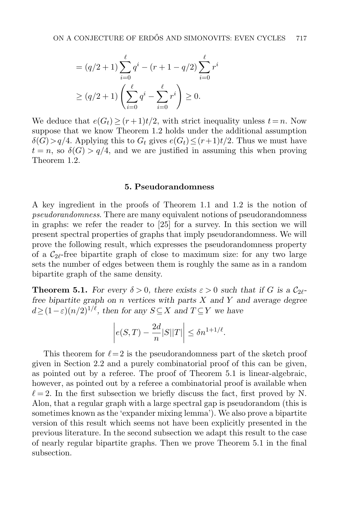$$
= (q/2 + 1) \sum_{i=0}^{\ell} q^{i} - (r + 1 - q/2) \sum_{i=0}^{\ell} r^{i}
$$

$$
\geq (q/2 + 1) \left( \sum_{i=0}^{\ell} q^{i} - \sum_{i=0}^{\ell} r^{i} \right) \geq 0.
$$

We deduce that  $e(G_t) > (r+1)t/2$ , with strict inequality unless  $t = n$ . Now suppose that we know Theorem [1.2](#page-2-1) holds under the additional assumption  $\delta(G) > q/4$ . Applying this to  $G_t$  gives  $e(G_t) \le (r+1)t/2$ . Thus we must have  $t = n$ , so  $\delta(G) > q/4$ , and we are justified in assuming this when proving Theorem [1.2.](#page-2-1)

#### 5. Pseudorandomness

A key ingredient in the proofs of Theorem [1.1](#page-2-0) and [1.2](#page-2-1) is the notion of pseudorandomness. There are many equivalent notions of pseudorandomness in graphs: we refer the reader to [\[25\]](#page-32-16) for a survey. In this section we will present spectral properties of graphs that imply pseudorandomness. We will prove the following result, which expresses the pseudorandomness property of a  $C_{2\ell}$ -free bipartite graph of close to maximum size: for any two large sets the number of edges between them is roughly the same as in a random bipartite graph of the same density.

<span id="page-18-0"></span>**Theorem 5.1.** For every  $\delta > 0$ , there exists  $\varepsilon > 0$  such that if G is a  $C_{2\ell}$ free bipartite graph on n vertices with parts  $X$  and  $Y$  and average degree  $d>(1-\varepsilon)(n/2)^{1/\ell}$ , then for any  $S\subset X$  and  $T\subset Y$  we have

$$
\left| e(S,T) - \frac{2d}{n} |S||T| \right| \leq \delta n^{1+1/\ell}.
$$

This theorem for  $\ell = 2$  is the pseudorandomness part of the sketch proof given in Section [2.2](#page-6-0) and a purely combinatorial proof of this can be given, as pointed out by a referee. The proof of Theorem [5.1](#page-18-0) is linear-algebraic, however, as pointed out by a referee a combinatorial proof is available when  $\ell = 2$ . In the first subsection we briefly discuss the fact, first proved by N. Alon, that a regular graph with a large spectral gap is pseudorandom (this is sometimes known as the 'expander mixing lemma'). We also prove a bipartite version of this result which seems not have been explicitly presented in the previous literature. In the second subsection we adapt this result to the case of nearly regular bipartite graphs. Then we prove Theorem [5.1](#page-18-0) in the final subsection.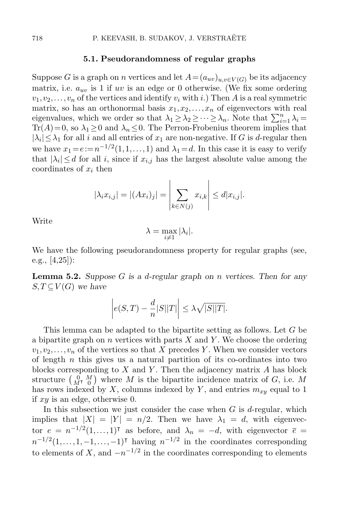#### 5.1. Pseudorandomness of regular graphs

Suppose G is a graph on n vertices and let  $A=(a_{uv})_{u,v\in V(G)}$  be its adjacency matrix, i.e.  $a_{uv}$  is 1 if uv is an edge or 0 otherwise. (We fix some ordering  $v_1,v_2,\ldots,v_n$  of the vertices and identify  $v_i$  with i.) Then A is a real symmetric matrix, so has an orthonormal basis  $x_1, x_2, \ldots, x_n$  of eigenvectors with real eigenvalues, which we order so that  $\lambda_1 \geq \lambda_2 \geq \cdots \geq \lambda_n$ . Note that  $\sum_{i=1}^n \lambda_i =$ Tr(A)=0, so  $\lambda_1 \geq 0$  and  $\lambda_n \leq 0$ . The Perron-Frobenius theorem implies that  $|\lambda_i| \leq \lambda_1$  for all i and all entries of  $x_1$  are non-negative. If G is d-regular then we have  $x_1 = e := n^{-1/2}(1, 1, \ldots, 1)$  and  $\lambda_1 = d$ . In this case it is easy to verify that  $|\lambda_i| \leq d$  for all i, since if  $x_{i,j}$  has the largest absolute value among the coordinates of  $x_i$  then

$$
|\lambda_i x_{i,j}| = |(Ax_i)_j| = \left| \sum_{k \in N(j)} x_{i,k} \right| \le d |x_{i,j}|.
$$

Write

$$
\lambda = \max_{i \neq 1} |\lambda_i|.
$$

We have the following pseudorandomness property for regular graphs (see, e.g., [\[4](#page-32-15)[,25\]](#page-32-16)):

**Lemma 5.2.** Suppose G is a d-regular graph on n vertices. Then for any  $S,T\subseteq V(G)$  we have

$$
\left| e(S,T) - \frac{d}{n} |S||T| \right| \le \lambda \sqrt{|S||T|}.
$$

This lemma can be adapted to the bipartite setting as follows. Let G be a bipartite graph on  $n$  vertices with parts  $X$  and  $Y$ . We choose the ordering  $v_1,v_2,\ldots,v_n$  of the vertices so that X precedes Y. When we consider vectors of length  $n$  this gives us a natural partition of its co-ordinates into two blocks corresponding to  $X$  and  $Y$ . Then the adjacency matrix  $A$  has block structure  $\begin{pmatrix} 0 & M \\ M^{\intercal} & 0 \end{pmatrix}$  where M is the bipartite incidence matrix of G, i.e. M has rows indexed by X, columns indexed by Y, and entries  $m_{xy}$  equal to 1 if  $xy$  is an edge, otherwise 0.

In this subsection we just consider the case when  $G$  is d-regular, which implies that  $|X| = |Y| = n/2$ . Then we have  $\lambda_1 = d$ , with eigenvector  $e = n^{-1/2}(1,...,1)$ <sup>T</sup> as before, and  $\lambda_n = -d$ , with eigenvector  $\bar{e} =$  $n^{-1/2}(1,\ldots,1,-1,\ldots,-1)$ <sup>T</sup> having  $n^{-1/2}$  in the coordinates corresponding to elements of X, and  $-n^{-1/2}$  in the coordinates corresponding to elements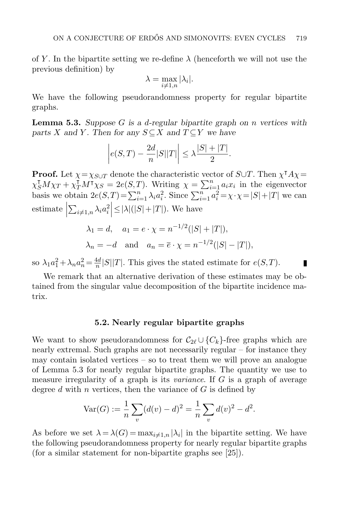of Y. In the bipartite setting we re-define  $\lambda$  (henceforth we will not use the previous definition) by

$$
\lambda = \max_{i \neq 1,n} |\lambda_i|.
$$

We have the following pseudorandomness property for regular bipartite graphs.

<span id="page-20-0"></span>**Lemma 5.3.** Suppose G is a d-regular bipartite graph on n vertices with parts X and Y. Then for any  $S \subseteq X$  and  $T \subseteq Y$  we have

$$
\left| e(S,T) - \frac{2d}{n} |S||T| \right| \leq \lambda \frac{|S| + |T|}{2}.
$$

**Proof.** Let  $\chi = \chi_{S \cup T}$  denote the characteristic vector of  $S \cup T$ . Then  $\chi^{\dagger} A \chi =$  $\chi_S^{\dagger} M \chi_T + \chi_T^{\dagger} M^{\dagger} \chi_S = 2e(S,T)$ . Writing  $\chi = \sum_{i=1}^n a_i x_i$  in the eigenvector basis we obtain  $2e(S,T) = \sum_{i=1}^{n} \lambda_i a_i^2$ . Since  $\sum_{i=1}^{n} a_i^2 = \chi \cdot \chi = |S| + |T|$  we can estimate     $\sum_{i\neq 1,n}\lambda_i a_i^2\Big|\leq |\lambda|(|S|+|T|)$ . We have

$$
\lambda_1 = d, \quad a_1 = e \cdot \chi = n^{-1/2}(|S| + |T|),
$$
  
\n $\lambda_n = -d \quad \text{and} \quad a_n = \overline{e} \cdot \chi = n^{-1/2}(|S| - |T|),$ 

so  $\lambda_1 a_1^2 + \lambda_n a_n^2 = \frac{4d}{n}$  $\frac{4d}{n} |S||T|$ . This gives the stated estimate for  $e(S,T)$ .

We remark that an alternative derivation of these estimates may be obtained from the singular value decomposition of the bipartite incidence matrix.

П

#### 5.2. Nearly regular bipartite graphs

We want to show pseudorandomness for  $C_{2\ell} \cup \{C_k\}$ -free graphs which are nearly extremal. Such graphs are not necessarily regular – for instance they may contain isolated vertices  $-$  so to treat them we will prove an analogue of Lemma [5.3](#page-20-0) for nearly regular bipartite graphs. The quantity we use to measure irregularity of a graph is its *variance*. If G is a graph of average degree d with n vertices, then the variance of  $G$  is defined by

$$
\text{Var}(G) := \frac{1}{n} \sum_{v} (d(v) - d)^2 = \frac{1}{n} \sum_{v} d(v)^2 - d^2.
$$

<span id="page-20-1"></span>As before we set  $\lambda = \lambda(G) = \max_{i \neq 1,n} |\lambda_i|$  in the bipartite setting. We have the following pseudorandomness property for nearly regular bipartite graphs (for a similar statement for non-bipartite graphs see [\[25\]](#page-32-16)).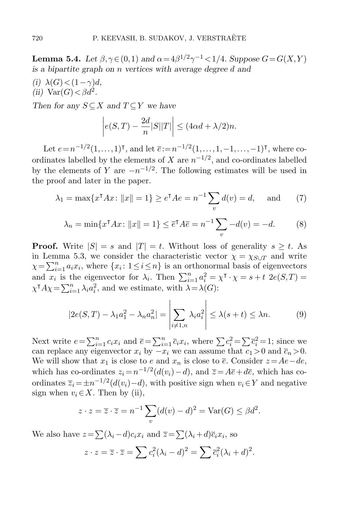**Lemma 5.4.** Let  $\beta, \gamma \in (0,1)$  and  $\alpha = 4\beta^{1/2}\gamma^{-1} < 1/4$ . Suppose  $G = G(X,Y)$ is a bipartite graph on n vertices with average degree d and

(i)  $\lambda(G) < (1-\gamma)d$ , (ii)  $\text{Var}(G) < \beta d^2$ .

Then for any  $S \subseteq X$  and  $T \subseteq Y$  we have

$$
\left| e(S,T) - \frac{2d}{n} |S||T| \right| \le (4\alpha d + \lambda/2)n.
$$

Let  $e = n^{-1/2}(1, \ldots, 1)^{\mathsf{T}}$ , and let  $\bar{e} := n^{-1/2}(1, \ldots, 1, -1, \ldots, -1)^{\mathsf{T}}$ , where coordinates labelled by the elements of X are  $n^{-1/2}$ , and co-ordinates labelled by the elements of Y are  $-n^{-1/2}$ . The following estimates will be used in the proof and later in the paper.

<span id="page-21-0"></span>
$$
\lambda_1 = \max\{x^{\dagger}Ax : ||x|| = 1\} \ge e^{\dagger}Ae = n^{-1}\sum_v d(v) = d,
$$
 and (7)

<span id="page-21-1"></span>
$$
\lambda_n = \min\{x^{\mathsf{T}}Ax : ||x|| = 1\} \le \overline{e}^{\mathsf{T}}A\overline{e} = n^{-1}\sum_v -d(v) = -d. \tag{8}
$$

**Proof.** Write  $|S| = s$  and  $|T| = t$ . Without loss of generality  $s \geq t$ . As in Lemma [5.3,](#page-20-0) we consider the characteristic vector  $\chi = \chi_{S \cup T}$  and write  $\chi = \sum_{i=1}^{n} a_i x_i$ , where  $\{x_i : 1 \leq i \leq n\}$  is an orthonormal basis of eigenvectors and  $x_i$  is the eigenvector for  $\lambda_i$ . Then  $\sum_{i=1}^n a_i^2 = \chi^{\mathsf{T}} \cdot \chi = s + t$  2e(S,T) =  $\chi^{\dagger} A \chi = \sum_{i=1}^{n} \lambda_i a_i^2$ , and we estimate, with  $\lambda = \lambda(G)$ :

<span id="page-21-2"></span>
$$
|2e(S,T) - \lambda_1 a_1^2 - \lambda_n a_n^2| = \left| \sum_{i \neq 1,n} \lambda_i a_i^2 \right| \le \lambda(s+t) \le \lambda n. \tag{9}
$$

Next write  $e = \sum_{i=1}^n c_i x_i$  and  $\overline{e} = \sum_{i=1}^n \overline{c}_i x_i$ , where  $\sum c_i^2 = \sum \overline{c}_i^2 = 1$ ; since we can replace any eigenvector  $x_i$  by  $-x_i$  we can assume that  $c_1 > 0$  and  $\overline{c}_n > 0$ . We will show that  $x_1$  is close to e and  $x_n$  is close to  $\overline{e}$ . Consider  $z= Ae-de$ , which has co-ordinates  $z_i = n^{-1/2}(d(v_i) - d)$ , and  $\overline{z} = A\overline{e} + d\overline{e}$ , which has coordinates  $\overline{z}_i = \pm n^{-1/2} (d(v_i) - d)$ , with positive sign when  $v_i \in Y$  and negative sign when  $v_i \in X$ . Then by (ii),

$$
z \cdot z = \overline{z} \cdot \overline{z} = n^{-1} \sum_{v} (d(v) - d)^2 = \text{Var}(G) \le \beta d^2.
$$

We also have  $z = \sum_{i} (\lambda_i - d)c_i x_i$  and  $\overline{z} = \sum_{i} (\lambda_i + d)\overline{c}_i x_i$ , so

$$
z \cdot z = \overline{z} \cdot \overline{z} = \sum c_i^2 (\lambda_i - d)^2 = \sum \overline{c}_i^2 (\lambda_i + d)^2.
$$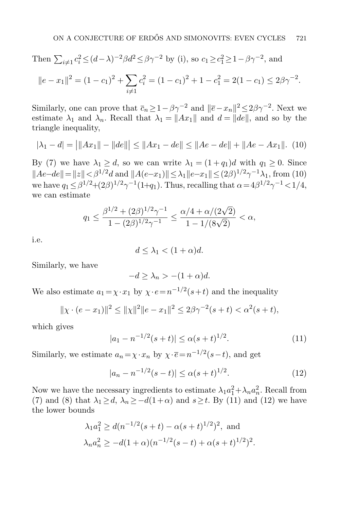Then 
$$
\sum_{i \neq 1} c_i^2 \leq (d - \lambda)^{-2} \beta d^2 \leq \beta \gamma^{-2}
$$
 by (i), so  $c_1 \geq c_1^2 \geq 1 - \beta \gamma^{-2}$ , and  
\n
$$
\|e - x_1\|^2 = (1 - c_1)^2 + \sum_{i \neq 1} c_i^2 = (1 - c_1)^2 + 1 - c_1^2 = 2(1 - c_1) \leq 2\beta \gamma^{-2}.
$$

Similarly, one can prove that  $\bar{c}_n \geq 1 - \beta \gamma^{-2}$  and  $\|\bar{e} - x_n\|^2 \leq 2\beta \gamma^{-2}$ . Next we estimate  $\lambda_1$  and  $\lambda_n$ . Recall that  $\lambda_1 = ||Ax_1||$  and  $d = ||de||$ , and so by the triangle inequality,

<span id="page-22-0"></span>
$$
|\lambda_1 - d| = |||Ax_1|| - ||de||| \le ||Ax_1 - de|| \le ||Ae - de|| + ||Ae - Ax_1||. (10)
$$

By [\(7\)](#page-21-0) we have  $\lambda_1 \geq d$ , so we can write  $\lambda_1 = (1 + q_1)d$  with  $q_1 \geq 0$ . Since  $||Ae-de|| = ||z|| < \beta^{1/2}d$  and  $||A(e-x_1)|| \le \lambda_1 ||e-x_1|| \le (2\beta)^{1/2}\gamma^{-1}\lambda_1$ , from [\(10\)](#page-22-0) we have  $q_1 \leq \beta^{1/2} + (2\beta)^{1/2} \gamma^{-1} (1+q_1)$ . Thus, recalling that  $\alpha = 4\beta^{1/2} \gamma^{-1} < 1/4$ , we can estimate

$$
q_1 \leq \frac{\beta^{1/2} + (2\beta)^{1/2}\gamma^{-1}}{1 - (2\beta)^{1/2}\gamma^{-1}} \leq \frac{\alpha/4 + \alpha/(2\sqrt{2})}{1 - 1/(8\sqrt{2})} < \alpha,
$$

i.e.

$$
d \leq \lambda_1 < (1 + \alpha)d.
$$

Similarly, we have

$$
-d \ge \lambda_n > -(1+\alpha)d.
$$

We also estimate  $a_1 = \chi \cdot x_1$  by  $\chi \cdot e = n^{-1/2}(s+t)$  and the inequality

$$
\|\chi \cdot (e - x_1)\|^2 \le \|\chi\|^2 \|e - x_1\|^2 \le 2\beta\gamma^{-2}(s + t) < \alpha^2(s + t),
$$

which gives

<span id="page-22-1"></span>
$$
|a_1 - n^{-1/2}(s+t)| \le \alpha (s+t)^{1/2}.
$$
 (11)

Similarly, we estimate  $a_n = \chi \cdot x_n$  by  $\chi \cdot \overline{e} = n^{-1/2}(s-t)$ , and get

<span id="page-22-2"></span>
$$
|a_n - n^{-1/2}(s - t)| \le \alpha (s + t)^{1/2}.
$$
 (12)

Now we have the necessary ingredients to estimate  $\lambda_1 a_1^2 + \lambda_n a_n^2$ . Recall from [\(7\)](#page-21-0) and [\(8\)](#page-21-1) that  $\lambda_1 \geq d$ ,  $\lambda_n \geq -d(1+\alpha)$  and  $s \geq t$ . By [\(11\)](#page-22-1) and [\(12\)](#page-22-2) we have the lower bounds

$$
\lambda_1 a_1^2 \ge d(n^{-1/2}(s+t) - \alpha(s+t)^{1/2})^2
$$
, and  
\n $\lambda_n a_n^2 \ge -d(1+\alpha)(n^{-1/2}(s-t) + \alpha(s+t)^{1/2})^2$ .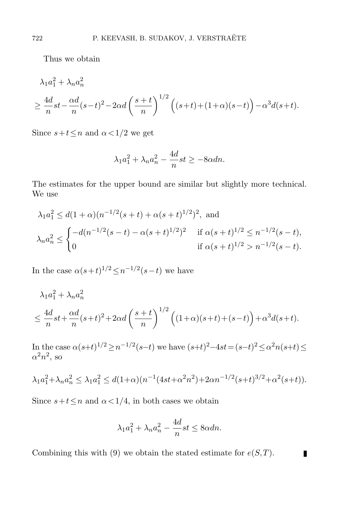Thus we obtain

$$
\lambda_1 a_1^2 + \lambda_n a_n^2
$$
  
\n
$$
\geq \frac{4d}{n} st - \frac{\alpha d}{n} (s-t)^2 - 2\alpha d \left(\frac{s+t}{n}\right)^{1/2} \left( (s+t) + (1+\alpha)(s-t) \right) - \alpha^3 d(s+t).
$$

Since  $s+t\leq n$  and  $\alpha<1/2$  we get

$$
\lambda_1 a_1^2 + \lambda_n a_n^2 - \frac{4d}{n} st \ge -8\alpha dn.
$$

The estimates for the upper bound are similar but slightly more technical. We use

$$
\lambda_1 a_1^2 \le d(1+\alpha)(n^{-1/2}(s+t) + \alpha(s+t)^{1/2})^2, \text{ and}
$$
  
\n
$$
\lambda_n a_n^2 \le \begin{cases} -d(n^{-1/2}(s-t) - \alpha(s+t)^{1/2})^2 & \text{if } \alpha(s+t)^{1/2} \le n^{-1/2}(s-t), \\ 0 & \text{if } \alpha(s+t)^{1/2} > n^{-1/2}(s-t). \end{cases}
$$

In the case  $\alpha(s+t)^{1/2} \leq n^{-1/2}(s-t)$  we have

$$
\lambda_1 a_1^2 + \lambda_n a_n^2
$$
  

$$
\leq \frac{4d}{n} st + \frac{\alpha d}{n} (s+t)^2 + 2\alpha d \left(\frac{s+t}{n}\right)^{1/2} \left( (1+\alpha)(s+t) + (s-t) \right) + \alpha^3 d(s+t).
$$

In the case  $\alpha(s+t)^{1/2} \geq n^{-1/2}(s-t)$  we have  $(s+t)^{2}-4st = (s-t)^{2} \leq \alpha^{2} n(s+t) \leq$  $\alpha^2 n^2$ , so

$$
\lambda_1 a_1^2 + \lambda_n a_n^2 \le \lambda_1 a_1^2 \le d(1+\alpha)(n^{-1}(4st + \alpha^2 n^2) + 2\alpha n^{-1/2}(s+t)^{3/2} + \alpha^2(s+t)).
$$

Since  $s+t\leq n$  and  $\alpha<1/4$ , in both cases we obtain

$$
\lambda_1 a_1^2 + \lambda_n a_n^2 - \frac{4d}{n} st \le 8 \alpha dn.
$$

 $\blacksquare$ 

Combining this with [\(9\)](#page-21-2) we obtain the stated estimate for  $e(S,T)$ .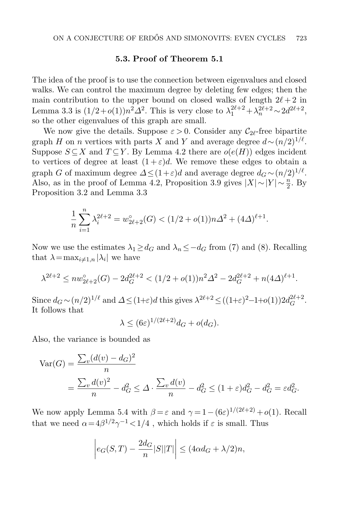# 5.3. Proof of Theorem [5.1](#page-18-0)

The idea of the proof is to use the connection between eigenvalues and closed walks. We can control the maximum degree by deleting few edges; then the main contribution to the upper bound on closed walks of length  $2\ell + 2$  in Lemma [3.3](#page-9-0) is  $(1/2+o(1))n^2\Delta^2$ . This is very close to  $\lambda_1^{2\ell+2} + \lambda_n^{2\ell+2} \sim 2d^{2\ell+2}$ , so the other eigenvalues of this graph are small.

We now give the details. Suppose  $\varepsilon > 0$ . Consider any  $\mathcal{C}_{2\ell}$ -free bipartite graph H on n vertices with parts X and Y and average degree  $d \sim (n/2)^{1/\ell}$ . Suppose  $S \subseteq X$  and  $T \subseteq Y$ . By Lemma [4.2](#page-15-2) there are  $o(e(H))$  edges incident to vertices of degree at least  $(1+\varepsilon)d$ . We remove these edges to obtain a graph G of maximum degree  $\Delta \leq (1+\varepsilon)d$  and average degree  $d_G \sim (n/2)^{1/\ell}$ . Also, as in the proof of Lemma [4.2,](#page-15-2) Proposition [3.9](#page-13-1) gives  $|X| \sim |Y| \sim \frac{n}{2}$ . By Proposition [3.2](#page-9-1) and Lemma [3.3](#page-9-0)

$$
\frac{1}{n}\sum_{i=1}^{n} \lambda_i^{2\ell+2} = w_{2\ell+2}^{\circ}(G) < (1/2 + o(1))n\Delta^2 + (4\Delta)^{\ell+1}.
$$

Now we use the estimates  $\lambda_1 \geq d_G$  and  $\lambda_n \leq -d_G$  from [\(7\)](#page-21-0) and [\(8\)](#page-21-1). Recalling that  $\lambda = \max_{i \neq 1,n} |\lambda_i|$  we have

$$
\lambda^{2\ell+2} \leq nw_{2\ell+2}^{\circ}(G) - 2d_G^{2\ell+2} < (1/2 + o(1))n^2\Delta^2 - 2d_G^{2\ell+2} + n(4\Delta)^{\ell+1}.
$$

Since  $d_G \sim (n/2)^{1/\ell}$  and  $\Delta \leq (1+\varepsilon)d$  this gives  $\lambda^{2\ell+2} \leq ((1+\varepsilon)^2-1+o(1))2d_G^{2\ell+2}$  $G^{2\ell+2}$ . It follows that

$$
\lambda \le (6\varepsilon)^{1/(2\ell+2)} d_G + o(d_G).
$$

Also, the variance is bounded as

$$
\begin{split} \text{Var}(G) &= \frac{\sum_{v} (d(v) - d_G)^2}{n} \\ &= \frac{\sum_{v} d(v)^2}{n} - d_G^2 \le \Delta \cdot \frac{\sum_{v} d(v)}{n} - d_G^2 \le (1 + \varepsilon) d_G^2 - d_G^2 = \varepsilon d_G^2. \end{split}
$$

We now apply Lemma [5.4](#page-20-1) with  $\beta = \varepsilon$  and  $\gamma = 1 - (6\varepsilon)^{1/(2\ell+2)} + o(1)$ . Recall that we need  $\alpha = 4\beta^{1/2}\gamma^{-1} < 1/4$ , which holds if  $\varepsilon$  is small. Thus

$$
\left| e_G(S,T) - \frac{2d_G}{n} |S||T| \right| \le (4\alpha d_G + \lambda/2)n,
$$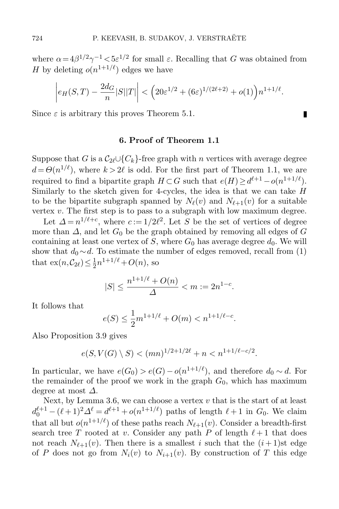where  $\alpha = 4\beta^{1/2}\gamma^{-1} < 5\varepsilon^{1/2}$  for small  $\varepsilon$ . Recalling that G was obtained from H by deleting  $o(n^{1+1/\ell})$  edges we have

$$
\left| e_H(S,T) - \frac{2d_G}{n} |S||T| \right| < \left( 20\varepsilon^{1/2} + (6\varepsilon)^{1/(2\ell+2)} + o(1) \right) n^{1+1/\ell}.
$$

П

Since  $\varepsilon$  is arbitrary this proves Theorem [5.1.](#page-18-0)

## 6. Proof of Theorem [1.1](#page-2-0)

Suppose that G is a  $C_2 \cup \{C_k\}$ -free graph with n vertices with average degree  $d = \Theta(n^{1/\ell})$ , where  $k > 2\ell$  is odd. For the first part of Theorem [1.1,](#page-2-0) we are required to find a bipartite graph  $H \subset G$  such that  $e(H) \ge d^{\ell+1} - o(n^{1+1/\ell})$ . Similarly to the sketch given for 4-cycles, the idea is that we can take  $H$ to be the bipartite subgraph spanned by  $N_{\ell}(v)$  and  $N_{\ell+1}(v)$  for a suitable vertex  $v$ . The first step is to pass to a subgraph with low maximum degree.

Let  $\Delta = n^{1/\ell+c}$ , where  $c := 1/2\ell^2$ . Let S be the set of vertices of degree more than  $\Delta$ , and let  $G_0$  be the graph obtained by removing all edges of G containing at least one vertex of S, where  $G_0$  has average degree  $d_0$ . We will show that  $d_0 \sim d$ . To estimate the number of edges removed, recall from [\(1\)](#page-1-0) that  $\text{ex}(n, \mathcal{C}_{2\ell}) \leq \frac{1}{2}$  $\frac{1}{2}n^{1+1/\ell} + O(n)$ , so

$$
|S| \le \frac{n^{1+1/\ell} + O(n)}{\Delta} < m := 2n^{1-c}.
$$

It follows that

$$
e(S) \le \frac{1}{2}m^{1+1/\ell} + O(m) < n^{1+1/\ell - c}.
$$

Also Proposition [3.9](#page-13-1) gives

 $e(S, V(G) \setminus S) < (mn)^{1/2 + 1/2\ell} + n < n^{1+1/\ell - c/2}.$ 

In particular, we have  $e(G_0) > e(G) - o(n^{1+1/\ell})$ , and therefore  $d_0 \sim d$ . For the remainder of the proof we work in the graph  $G_0$ , which has maximum degree at most  $\Delta$ .

Next, by Lemma [3.6,](#page-10-2) we can choose a vertex  $v$  that is the start of at least  $d_0^{\ell+1} - (\ell+1)^2 \Delta^{\ell} = d^{\ell+1} + o(n^{1+1/\ell})$  paths of length  $\ell+1$  in  $G_0$ . We claim that all but  $o(n^{1+1/\ell})$  of these paths reach  $N_{\ell+1}(v)$ . Consider a breadth-first search tree T rooted at v. Consider any path P of length  $\ell + 1$  that does not reach  $N_{\ell+1}(v)$ . Then there is a smallest i such that the  $(i + 1)$ st edge of P does not go from  $N_i(v)$  to  $N_{i+1}(v)$ . By construction of T this edge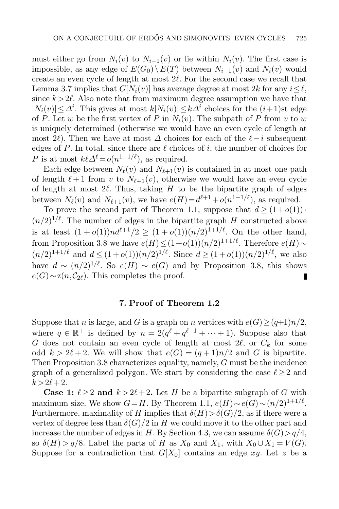must either go from  $N_i(v)$  to  $N_{i-1}(v)$  or lie within  $N_i(v)$ . The first case is impossible, as any edge of  $E(G_0) \setminus E(T)$  between  $N_{i-1}(v)$  and  $N_i(v)$  would create an even cycle of length at most  $2\ell$ . For the second case we recall that Lemma [3.7](#page-11-2) implies that  $G[N_i(v)]$  has average degree at most 2k for any  $i\leq \ell$ , since  $k > 2\ell$ . Also note that from maximum degree assumption we have that  $|N_i(v)| \leq \Delta^i$ . This gives at most  $k|N_i(v)| \leq k\Delta^i$  choices for the  $(i+1)$ st edge of P. Let w be the first vertex of P in  $N_i(v)$ . The subpath of P from v to w is uniquely determined (otherwise we would have an even cycle of length at most 2 $\ell$ ). Then we have at most  $\Delta$  choices for each of the  $\ell-i$  subsequent edges of P. In total, since there are  $\ell$  choices of i, the number of choices for P is at most  $k\ell\Delta^{\ell} = o(n^{1+1/\ell})$ , as required.

Each edge between  $N_{\ell}(v)$  and  $N_{\ell+1}(v)$  is contained in at most one path of length  $\ell + 1$  from v to  $N_{\ell+1}(v)$ , otherwise we would have an even cycle of length at most  $2\ell$ . Thus, taking H to be the bipartite graph of edges between  $N_{\ell}(v)$  and  $N_{\ell+1}(v)$ , we have  $e(H) = d^{\ell+1} + o(n^{1+1/\ell})$ , as required.

To prove the second part of Theorem [1.1,](#page-2-0) suppose that  $d \geq (1+o(1))$ .  $(n/2)^{1/\ell}$ . The number of edges in the bipartite graph H constructed above is at least  $(1 + o(1))nd^{\ell+1}/2 \ge (1 + o(1))(n/2)^{1+1/\ell}$ . On the other hand, from Proposition [3.8](#page-12-0) we have  $e(H) \leq (1+o(1))(n/2)^{1+1/\ell}$ . Therefore  $e(H) \sim$  $(n/2)^{1+1/\ell}$  and  $d \leq (1+o(1))(n/2)^{1/\ell}$ . Since  $d \geq (1+o(1))(n/2)^{1/\ell}$ , we also have  $d \sim (n/2)^{1/\ell}$ . So  $e(H) \sim e(G)$  and by Proposition [3.8,](#page-12-0) this shows  $e(G) \sim z(n,\mathcal{C}_{2\ell})$ . This completes the proof.

# 7. Proof of Theorem [1.2](#page-2-1)

Suppose that n is large, and G is a graph on n vertices with  $e(G) \ge (q+1)n/2$ , where  $q \in \mathbb{R}^+$  is defined by  $n = 2(q^{\ell} + q^{\ell-1} + \cdots + 1)$ . Suppose also that G does not contain an even cycle of length at most  $2\ell$ , or  $C_k$  for some odd  $k > 2\ell + 2$ . We will show that  $e(G) = (q + 1)n/2$  and G is bipartite. Then Proposition [3.8](#page-12-0) characterizes equality, namely, G must be the incidence graph of a generalized polygon. We start by considering the case  $\ell \geq 2$  and  $k > 2\ell + 2$ .

**Case 1:**  $\ell \geq 2$  and  $k > 2\ell + 2$ . Let H be a bipartite subgraph of G with maximum size. We show  $G=H$ . By Theorem [1.1,](#page-2-0)  $e(H) \sim e(G) \sim (n/2)^{1+1/\ell}$ . Furthermore, maximality of H implies that  $\delta(H) > \delta(G)/2$ , as if there were a vertex of degree less than  $\delta(G)/2$  in H we could move it to the other part and increase the number of edges in H. By Section 4.3, we can assume  $\delta(G) > q/4$ , so  $\delta(H) > q/8$ . Label the parts of H as  $X_0$  and  $X_1$ , with  $X_0 \cup X_1 = V(G)$ . Suppose for a contradiction that  $G[X_0]$  contains an edge xy. Let z be a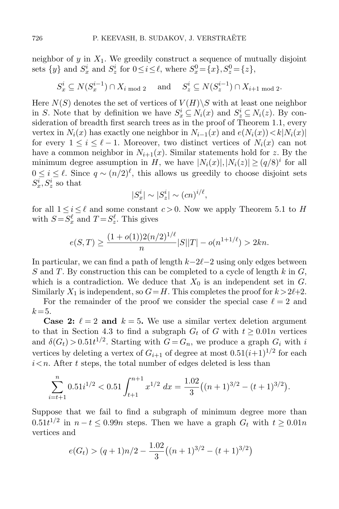neighbor of y in  $X_1$ . We greedily construct a sequence of mutually disjoint sets  $\{y\}$  and  $S_x^i$  and  $S_z^i$  for  $0 \le i \le \ell$ , where  $S_x^0 = \{x\}$ ,  $S_z^0 = \{z\}$ ,

$$
S_x^i \subseteq N(S_x^{i-1}) \cap X_{i \bmod 2} \quad \text{and} \quad S_z^i \subseteq N(S_z^{i-1}) \cap X_{i+1 \bmod 2}.
$$

Here  $N(S)$  denotes the set of vertices of  $V(H)\backslash S$  with at least one neighbor in S. Note that by definition we have  $S_x^i \subseteq N_i(x)$  and  $S_z^i \subseteq N_i(z)$ . By consideration of breadth first search trees as in the proof of Theorem [1.1,](#page-2-0) every vertex in  $N_i(x)$  has exactly one neighbor in  $N_{i-1}(x)$  and  $e(N_i(x)) < k|N_i(x)|$ for every  $1 \leq i \leq \ell - 1$ . Moreover, two distinct vertices of  $N_i(x)$  can not have a common neighbor in  $N_{i+1}(x)$ . Similar statements hold for z. By the minimum degree assumption in H, we have  $|N_i(x)|, |N_i(z)| \ge (q/8)^i$  for all  $0 \leq i \leq \ell$ . Since  $q \sim (n/2)^{\ell}$ , this allows us greedily to choose disjoint sets  $S_x^i, S_z^i$  so that

$$
|S_x^i| \sim |S_z^i| \sim (cn)^{i/\ell},
$$

for all  $1 \leq i \leq \ell$  and some constant  $c > 0$ . Now we apply Theorem [5.1](#page-18-0) to H with  $S = S_x^{\ell}$  and  $T = S_z^{\ell}$ . This gives

$$
e(S,T) \ge \frac{(1+o(1))2(n/2)^{1/\ell}}{n}|S||T| - o(n^{1+1/\ell}) > 2kn.
$$

In particular, we can find a path of length  $k-2\ell-2$  using only edges between S and T. By construction this can be completed to a cycle of length  $k$  in  $G$ , which is a contradiction. We deduce that  $X_0$  is an independent set in G. Similarly  $X_1$  is independent, so  $G=H$ . This completes the proof for  $k > 2\ell+2$ .

For the remainder of the proof we consider the special case  $\ell = 2$  and  $k = 5$ .

**Case 2:**  $\ell = 2$  and  $k = 5$ . We use a similar vertex deletion argument to that in Section 4.3 to find a subgraph  $G_t$  of G with  $t \geq 0.01n$  vertices and  $\delta(G_t) > 0.51t^{1/2}$ . Starting with  $G = G_n$ , we produce a graph  $G_i$  with i vertices by deleting a vertex of  $G_{i+1}$  of degree at most  $0.51(i+1)^{1/2}$  for each  $i \leq n$ . After t steps, the total number of edges deleted is less than

$$
\sum_{i=t+1}^{n} 0.51i^{1/2} < 0.51 \int_{t+1}^{n+1} x^{1/2} \, dx = \frac{1.02}{3} \left( (n+1)^{3/2} - (t+1)^{3/2} \right).
$$

Suppose that we fail to find a subgraph of minimum degree more than  $0.51t^{1/2}$  in  $n-t \leq 0.99n$  steps. Then we have a graph  $G_t$  with  $t \geq 0.01n$ vertices and

$$
e(G_t) > (q+1)n/2 - \frac{1.02}{3}((n+1)^{3/2} - (t+1)^{3/2})
$$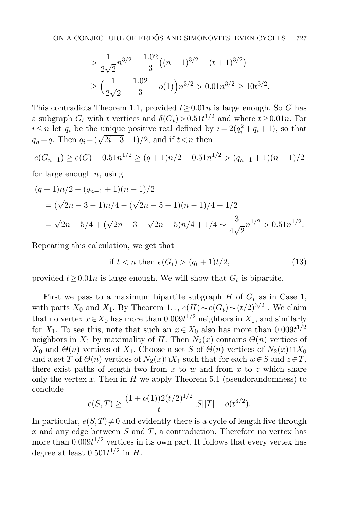$$
> \frac{1}{2\sqrt{2}}n^{3/2} - \frac{1.02}{3}((n+1)^{3/2} - (t+1)^{3/2})
$$
  

$$
\ge \left(\frac{1}{2\sqrt{2}} - \frac{1.02}{3} - o(1)\right)n^{3/2} > 0.01n^{3/2} \ge 10t^{3/2}.
$$

This contradicts Theorem [1.1,](#page-2-0) provided  $t \geq 0.01n$  is large enough. So G has a subgraph  $G_t$  with t vertices and  $\delta(G_t) > 0.51t^{1/2}$  and where  $t \ge 0.01n$ . For  $i \leq n$  let  $q_i$  be the unique positive real defined by  $i = 2(q_i^2 + q_i + 1)$ , so that  $q_n = q$ . Then  $q_i = (\sqrt{2i-3}-1)/2$ , and if  $t < n$  then

$$
e(G_{n-1}) \ge e(G) - 0.51n^{1/2} \ge (q+1)n/2 - 0.51n^{1/2} > (q_{n-1}+1)(n-1)/2
$$

for large enough  $n$ , using

$$
(q+1)n/2 - (q_{n-1}+1)(n-1)/2
$$
  
=  $(\sqrt{2n-3}-1)n/4 - (\sqrt{2n-5}-1)(n-1)/4 + 1/2$   
=  $\sqrt{2n-5}/4 + (\sqrt{2n-3} - \sqrt{2n-5})n/4 + 1/4 \sim \frac{3}{4\sqrt{2}}n^{1/2} > 0.51n^{1/2}.$ 

Repeating this calculation, we get that

<span id="page-28-0"></span>if 
$$
t < n
$$
 then  $e(G_t) > (q_t + 1)t/2,$  (13)

provided  $t \geq 0.01n$  is large enough. We will show that  $G_t$  is bipartite.

First we pass to a maximum bipartite subgraph  $H$  of  $G_t$  as in Case 1, with parts  $X_0$  and  $X_1$ . By Theorem [1.1,](#page-2-0)  $e(H) \sim e(G_t) \sim (t/2)^{3/2}$ . We claim that no vertex  $x \in X_0$  has more than  $0.009t^{1/2}$  neighbors in  $X_0$ , and similarly for  $X_1$ . To see this, note that such an  $x \in X_0$  also has more than  $0.009t^{1/2}$ neighbors in  $X_1$  by maximality of H. Then  $N_2(x)$  contains  $\Theta(n)$  vertices of  $X_0$  and  $\Theta(n)$  vertices of  $X_1$ . Choose a set S of  $\Theta(n)$  vertices of  $N_2(x) \cap X_0$ and a set T of  $\Theta(n)$  vertices of  $N_2(x) \cap X_1$  such that for each  $w \in S$  and  $z \in T$ , there exist paths of length two from  $x$  to  $w$  and from  $x$  to  $z$  which share only the vertex x. Then in  $H$  we apply Theorem [5.1](#page-18-0) (pseudorandomness) to conclude

$$
e(S,T) \ge \frac{(1+o(1))2(t/2)^{1/2}}{t}|S||T| - o(t^{3/2}).
$$

In particular,  $e(S,T) \neq 0$  and evidently there is a cycle of length five through  $x$  and any edge between  $S$  and  $T$ , a contradiction. Therefore no vertex has more than  $0.009t^{1/2}$  vertices in its own part. It follows that every vertex has degree at least  $0.501t^{1/2}$  in H.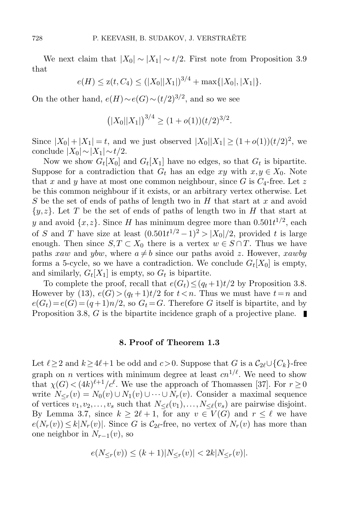We next claim that  $|X_0| \sim |X_1| \sim t/2$ . First note from Proposition [3.9](#page-13-1) that

$$
e(H) \le z(t, C_4) \le (|X_0||X_1|)^{3/4} + \max\{|X_0|, |X_1|\}.
$$

On the other hand,  $e(H) \sim e(G) \sim (t/2)^{3/2}$ , and so we see

$$
(|X_0||X_1|)^{3/4} \ge (1+o(1))(t/2)^{3/2}.
$$

Since  $|X_0| + |X_1| = t$ , and we just observed  $|X_0||X_1| \ge (1 + o(1))(t/2)^2$ , we conclude  $|X_0| \sim |X_1| \sim t/2$ .

Now we show  $G_t[X_0]$  and  $G_t[X_1]$  have no edges, so that  $G_t$  is bipartite. Suppose for a contradiction that  $G_t$  has an edge xy with  $x, y \in X_0$ . Note that x and y have at most one common neighbour, since G is  $C_4$ -free. Let z be this common neighbour if it exists, or an arbitrary vertex otherwise. Let S be the set of ends of paths of length two in  $H$  that start at  $x$  and avoid  ${y,z}.$  Let T be the set of ends of paths of length two in H that start at y and avoid  $\{x, z\}$ . Since H has minimum degree more than  $0.501t^{1/2}$ , each of S and T have size at least  $(0.501t^{1/2} - 1)^2 > |X_0|/2$ , provided t is large enough. Then since  $S, T \subset X_0$  there is a vertex  $w \in S \cap T$ . Thus we have paths xaw and ybw, where  $a \neq b$  since our paths avoid z. However, xawby forms a 5-cycle, so we have a contradiction. We conclude  $G_t[X_0]$  is empty, and similarly,  $G_t[X_1]$  is empty, so  $G_t$  is bipartite.

To complete the proof, recall that  $e(G_t) \leq (q_t+1)t/2$  by Proposition [3.8.](#page-12-0) However by [\(13\)](#page-28-0),  $e(G) > (q_t + 1)t/2$  for  $t < n$ . Thus we must have  $t = n$  and  $e(G_t) = e(G) = (q+1)n/2$ , so  $G_t = G$ . Therefore G itself is bipartite, and by Proposition [3.8,](#page-12-0) G is the bipartite incidence graph of a projective plane.

#### 8. Proof of Theorem [1.3](#page-3-0)

Let  $\ell \geq 2$  and  $k \geq 4\ell+1$  be odd and  $c>0$ . Suppose that G is a  $\mathcal{C}_{2\ell}\cup\{C_k\}$ -free graph on *n* vertices with minimum degree at least  $cn^{1/\ell}$ . We need to show that  $\chi(G) < (4k)^{\ell+1}/c^{\ell}$ . We use the approach of Thomassen [\[37\]](#page-33-10). For  $r \ge 0$ write  $N_{\leq r}(v) = N_0(v) \cup N_1(v) \cup \cdots \cup N_r(v)$ . Consider a maximal sequence of vertices  $v_1, v_2, \ldots, v_s$  such that  $N_{\leq \ell}(v_1), \ldots, N_{\leq \ell}(v_s)$  are pairwise disjoint. By Lemma [3.7,](#page-11-2) since  $k \ge 2\ell + 1$ , for any  $v \in V(G)$  and  $r \le \ell$  we have  $e(N_r(v)) \leq k|N_r(v)|$ . Since G is  $C_{2\ell}$ -free, no vertex of  $N_r(v)$  has more than one neighbor in  $N_{r-1}(v)$ , so

$$
e(N_{\leq r}(v)) \leq (k+1)|N_{\leq r}(v)| < 2k|N_{\leq r}(v)|.
$$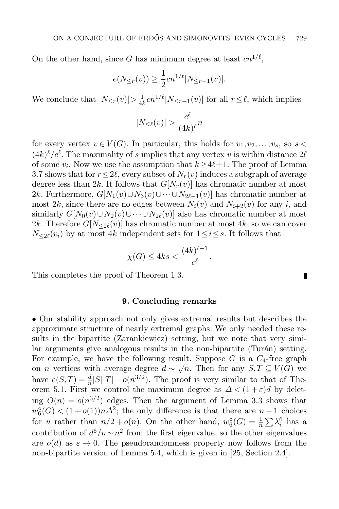On the other hand, since G has minimum degree at least  $cn^{1/\ell}$ ,

$$
e(N_{\leq r}(v)) \geq \frac{1}{2}cn^{1/\ell}|N_{\leq r-1}(v)|.
$$

We conclude that  $|N_{\leq r}(v)| > \frac{1}{4l}$  $\frac{1}{4k}cn^{1/\ell}|N_{\leq r-1}(v)|$  for all  $r \leq \ell$ , which implies

$$
|N_{\leq \ell}(v)| > \frac{c^{\ell}}{(4k)^{\ell}} n
$$

for every vertex  $v \in V(G)$ . In particular, this holds for  $v_1, v_2, \ldots, v_s$ , so  $s$  $(4k)^{\ell}/c^{\ell}$ . The maximality of s implies that any vertex v is within distance  $2\ell$ of some  $v_i$ . Now we use the assumption that  $k \geq 4\ell+1$ . The proof of Lemma [3.7](#page-11-2) shows that for  $r \leq 2\ell$ , every subset of  $N_r(v)$  induces a subgraph of average degree less than 2k. It follows that  $G[N_r(v)]$  has chromatic number at most 2k. Furthermore,  $G[N_1(v) \cup N_3(v) \cup \cdots \cup N_{2\ell-1}(v)]$  has chromatic number at most 2k, since there are no edges between  $N_i(v)$  and  $N_{i+2}(v)$  for any i, and similarly  $G[N_0(v) \cup N_2(v) \cup \cdots \cup N_{2\ell}(v)]$  also has chromatic number at most 2k. Therefore  $G[N_{\leq 2\ell}(v)]$  has chromatic number at most 4k, so we can cover  $N_{\leq 2\ell}(v_i)$  by at most 4k independent sets for  $1 \leq i \leq s$ . It follows that

$$
\chi(G) \le 4ks < \frac{(4k)^{\ell+1}}{c^{\ell}}.
$$

П

This completes the proof of Theorem [1.3.](#page-3-0)

### 9. Concluding remarks

• Our stability approach not only gives extremal results but describes the approximate structure of nearly extremal graphs. We only needed these results in the bipartite (Zarankiewicz) setting, but we note that very similar arguments give analogous results in the non-bipartite (Turán) setting. For example, we have the following result. Suppose  $G$  is a  $C_4$ -free graph For example, we have the following result. Suppose G is a  $C_4$ -rice graph<br>on *n* vertices with average degree  $d \sim \sqrt{n}$ . Then for any  $S, T \subseteq V(G)$  we have  $e(S,T) = \frac{d}{n} |S||T| + o(n^{3/2})$ . The proof is very similar to that of The-orem [5.1.](#page-18-0) First we control the maximum degree as  $\Delta < (1+\varepsilon)d$  by deleting  $O(n) = o(n^{3/2})$  edges. Then the argument of Lemma [3.3](#page-9-0) shows that  $w_6^{\circ}(G) < (1+o(1))n\Delta^2$ ; the only difference is that there are  $n-1$  choices for u rather than  $n/2 + o(n)$ . On the other hand,  $w_6^{\circ}(G) = \frac{1}{n} \sum_i \lambda_i^6$  has a contribution of  $d^6/n \sim n^2$  from the first eigenvalue, so the other eigenvalues are  $o(d)$  as  $\varepsilon \to 0$ . The pseudorandomness property now follows from the non-bipartite version of Lemma [5.4,](#page-20-1) which is given in [\[25,](#page-32-16) Section 2.4].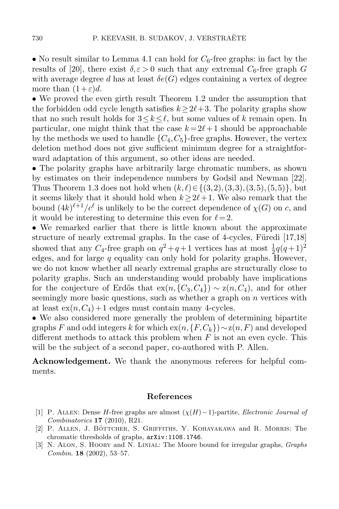• No result similar to Lemma [4.1](#page-14-0) can hold for  $C_6$ -free graphs: in fact by the results of [\[20\]](#page-32-17), there exist  $\delta, \epsilon > 0$  such that any extremal  $C_6$ -free graph G with average degree d has at least  $\delta e(G)$  edges containing a vertex of degree more than  $(1+\varepsilon)d$ .

• We proved the even girth result Theorem [1.2](#page-2-1) under the assumption that the forbidden odd cycle length satisfies  $k>2\ell+3$ . The polarity graphs show that no such result holds for  $3 \leq k \leq \ell$ , but some values of k remain open. In particular, one might think that the case  $k = 2\ell + 1$  should be approachable by the methods we used to handle  ${C_4, C_5}$ -free graphs. However, the vertex deletion method does not give sufficient minimum degree for a straightforward adaptation of this argument, so other ideas are needed.

• The polarity graphs have arbitrarily large chromatic numbers, as shown by estimates on their independence numbers by Godsil and Newman [\[22\]](#page-32-18). Thus Theorem [1.3](#page-3-0) does not hold when  $(k, \ell) \in \{(3,2), (3,3), (3,5), (5,5)\}$ , but it seems likely that it should hold when  $k>2\ell+1$ . We also remark that the bound  $(4k)^{\ell+1}/c^{\ell}$  is unlikely to be the correct dependence of  $\chi(G)$  on c, and it would be interesting to determine this even for  $\ell = 2$ .

• We remarked earlier that there is little known about the approximate structure of nearly extremal graphs. In the case of 4-cycles, Füredi  $[17,18]$  $[17,18]$ showed that any  $C_4$ -free graph on  $q^2 + q + 1$  vertices has at most  $\frac{1}{2}q(q+1)^2$ edges, and for large  $q$  equality can only hold for polarity graphs. However, we do not know whether all nearly extremal graphs are structurally close to polarity graphs. Such an understanding would probably have implications for the conjecture of Erdős that  $ex(n, {C_3, C_4}) \sim z(n, C_4)$ , and for other seemingly more basic questions, such as whether a graph on  $n$  vertices with at least  $ex(n, C_4) + 1$  edges must contain many 4-cycles.

• We also considered more generally the problem of determining bipartite graphs F and odd integers k for which ex $(n,\{F,C_k\}) \sim z(n,F)$  and developed different methods to attack this problem when  $F$  is not an even cycle. This will be the subject of a second paper, co-authored with P. Allen.

Acknowledgement. We thank the anonymous referees for helpful comments.

#### References

- <span id="page-31-0"></span>[1] P. ALLEN: Dense H-free graphs are almost  $(\chi(H)-1)$ -partite, Electronic Journal of Combinatorics 17 (2010), R21.
- <span id="page-31-1"></span>[2] P. ALLEN, J. BÖTTCHER, S. GRIFFITHS, Y. KOHAYAKAWA and R. MORRIS: The chromatic thresholds of graphs, arXiv:1108.1746.
- <span id="page-31-2"></span>[3] N. Alon, S. Hoory and N. Linial: The Moore bound for irregular graphs, Graphs Combin. 18 (2002), 53–57.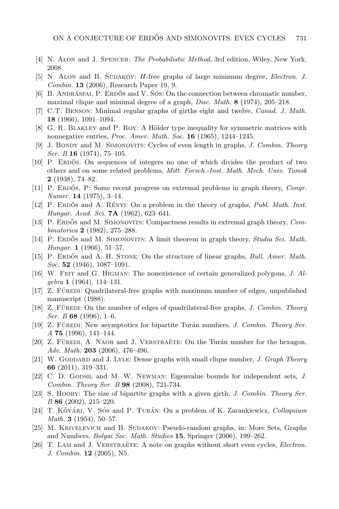- <span id="page-32-15"></span>[4] N. Alon and J. Spencer: The Probabilistic Method, 3rd edition, Wiley, New York, 2008.
- <span id="page-32-7"></span>[5] N. ALON and B. SUDAKOV: H-free graphs of large minimum degree, *Electron. J.* Combin. 13 (2006), Research Paper 19, 9.
- <span id="page-32-6"></span>[6] B. ANDRÁSFAI, P. ERDŐS and V. SÓS: On the connection between chromatic number, maximal clique and minimal degree of a graph, *Disc. Math.* 8 (1974), 205-218.
- <span id="page-32-5"></span>[7] C.T. Benson: Minimal regular graphs of girths eight and twelve, Canad. J. Math. 18 (1966), 1091–1094.
- <span id="page-32-11"></span>[8] G. R. BLAKLEY and P. ROY: A Hölder type inequality for symmetric matrices with nonnegative entries, *Proc. Amer. Math. Soc.* **16** (1965), 1244–1245.
- <span id="page-32-2"></span>[9] J. BONDY and M. SIMONOVITS: Cycles of even length in graphs, J. Combin. Theory Ser. B 16 (1974), 75-105.
- <span id="page-32-9"></span>[10] P. ERDOS: On sequences of integers no one of which divides the product of two others and on some related problems, Mitt. Forsch.-Inst. Math. Mech. Univ. Tomsk  $2$  (1938), 74–82.
- <span id="page-32-10"></span>[11] P. ERDOS, P: Some recent progress on extremal problems in graph theory, Congr. Numer.  $14$  (1975), 3-14.
- <span id="page-32-13"></span>[12] P. ERDOS and A. RENYI: On a problem in the theory of graphs, *Publ. Math. Inst. Hungar. Acad. Sci.* **7A** (1962), 623–641.
- <span id="page-32-4"></span>[13] P. ERDŐS and M. SIMONOVITS: Compactness results in extremal graph theory, Combinatorica  $2(1982), 275-288.$
- <span id="page-32-0"></span>[14] P. ERDŐS and M. SIMONOVITS: A limit theorem in graph theory, *Studia Sci. Math.* Hungar. 1 (1966), 51–57.
- <span id="page-32-1"></span>[15] P. ERDOS and A. H. STONE: On the structure of linear graphs, *Bull. Amer. Math.* Soc. 52 (1946),  $1087-1091$ .
- <span id="page-32-14"></span>[16] W. Feit and G. Higman: The nonexistence of certain generalized polygons, J. Al $qebra$  1 (1964), 114-131.
- <span id="page-32-19"></span>[17] Z. Füren: Quadrilateral-free graphs with maximum number of edges, unpublished manuscript (1988).
- <span id="page-32-20"></span>[18] Z. FÜREDI: On the number of edges of quadrilateral-free graphs, J. Combin. Theory Ser. B 68 (1996), 1–6.
- [19] Z. FÜREDI: New asymptotics for bipartite Turán numbers, J. Combin. Theory Ser. A 75 (1996), 141–144.
- <span id="page-32-17"></span> $[20]$  Z. FÜREDI, A. NAOR and J. VERSTRAETE: On the Turán number for the hexagon, Adv. Math.  $203$  (2006), 476-496.
- <span id="page-32-8"></span>[21] W. GODDARD and J. LYLE: Dense graphs with small clique number, J. Graph Theory 66 (2011), 319–331.
- <span id="page-32-18"></span>[22] C. D. GODSIL and M. W. NEWMAN: Eigenvalue bounds for independent sets, J. Combin. Theory Ser. B 98 (2008), 721-734.
- <span id="page-32-12"></span>[23] S. Hoory: The size of bipartite graphs with a given girth, J. Combin. Theory Ser. B 86 (2002), 215–220.
- [24] T. KővÁRI, V. SÓS and P. TURÁN: On a problem of K. Zarankiewicz, Colloquium Math. 3 (1954), 50–57.
- <span id="page-32-16"></span>[25] M. KRIVELEVICH and B. SUDAKOV: Pseudo-random graphs, in: More Sets, Graphs and Numbers, Bolyai Soc. Math. Studies 15, Springer (2006), 199–262.
- <span id="page-32-3"></span>[26] T. LAM and J. VERSTRAETE: A note on graphs without short even cycles, *Electron*. J. Combin. 12 (2005), N5.